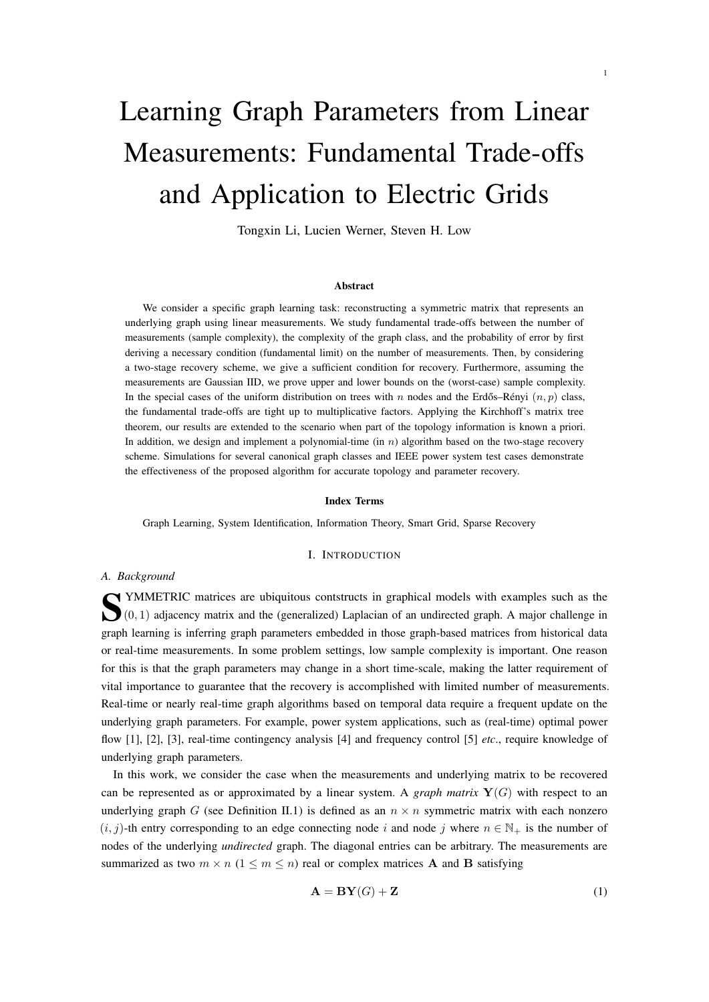# Learning Graph Parameters from Linear Measurements: Fundamental Trade-offs and Application to Electric Grids

1

Tongxin Li, Lucien Werner, Steven H. Low

#### Abstract

We consider a specific graph learning task: reconstructing a symmetric matrix that represents an underlying graph using linear measurements. We study fundamental trade-offs between the number of measurements (sample complexity), the complexity of the graph class, and the probability of error by first deriving a necessary condition (fundamental limit) on the number of measurements. Then, by considering a two-stage recovery scheme, we give a sufficient condition for recovery. Furthermore, assuming the measurements are Gaussian IID, we prove upper and lower bounds on the (worst-case) sample complexity. In the special cases of the uniform distribution on trees with n nodes and the Erdős–Rényi  $(n, p)$  class, the fundamental trade-offs are tight up to multiplicative factors. Applying the Kirchhoff's matrix tree theorem, our results are extended to the scenario when part of the topology information is known a priori. In addition, we design and implement a polynomial-time (in  $n$ ) algorithm based on the two-stage recovery scheme. Simulations for several canonical graph classes and IEEE power system test cases demonstrate the effectiveness of the proposed algorithm for accurate topology and parameter recovery.

#### Index Terms

Graph Learning, System Identification, Information Theory, Smart Grid, Sparse Recovery

# I. INTRODUCTION

# *A. Background*

**S**YMMETRIC matrices are ubiquitous contstructs in graphical models with examples such as the  $(0, 1)$  adjacency matrix and the (generalized) Laplacian of an undirected graph. A major challenge in  $\bigcup$  (0, 1) adjacency matrix and the (generalized) Laplacian of an undirected graph. A major challenge in graph learning is inferring graph parameters embedded in those graph-based matrices from historical data or real-time measurements. In some problem settings, low sample complexity is important. One reason for this is that the graph parameters may change in a short time-scale, making the latter requirement of vital importance to guarantee that the recovery is accomplished with limited number of measurements. Real-time or nearly real-time graph algorithms based on temporal data require a frequent update on the underlying graph parameters. For example, power system applications, such as (real-time) optimal power flow [1], [2], [3], real-time contingency analysis [4] and frequency control [5] *etc*., require knowledge of underlying graph parameters.

In this work, we consider the case when the measurements and underlying matrix to be recovered can be represented as or approximated by a linear system. A *graph matrix*  $Y(G)$  with respect to an underlying graph G (see Definition II.1) is defined as an  $n \times n$  symmetric matrix with each nonzero  $(i, j)$ -th entry corresponding to an edge connecting node i and node j where  $n \in \mathbb{N}_+$  is the number of nodes of the underlying *undirected* graph. The diagonal entries can be arbitrary. The measurements are summarized as two  $m \times n$  ( $1 \le m \le n$ ) real or complex matrices **A** and **B** satisfying

$$
\mathbf{A} = \mathbf{B}\mathbf{Y}(G) + \mathbf{Z} \tag{1}
$$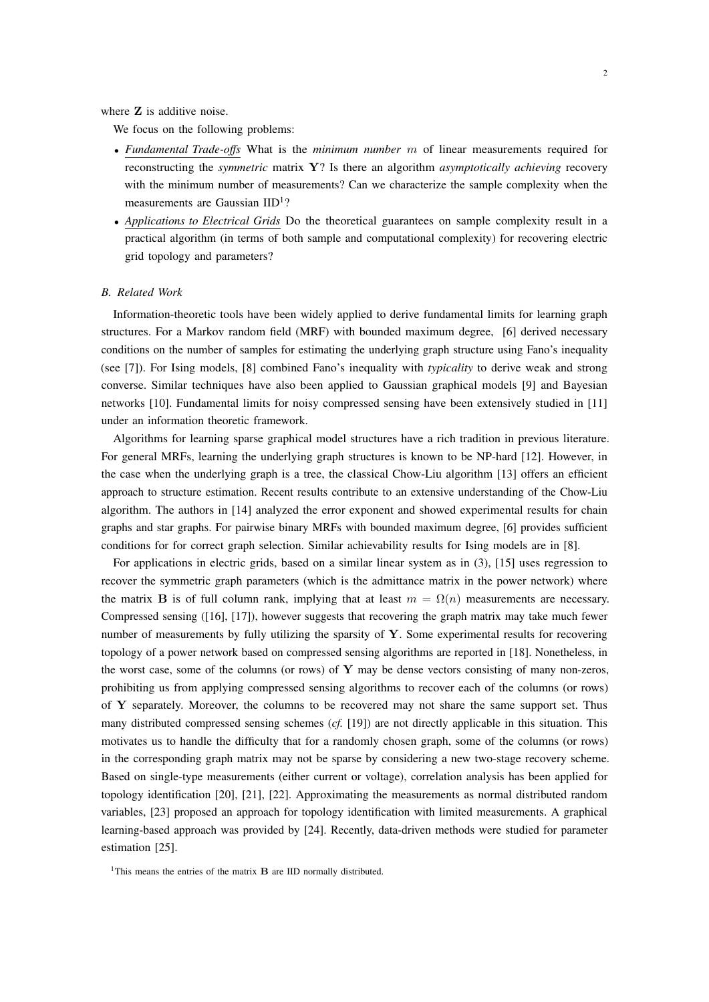where **Z** is additive noise.

We focus on the following problems:

- *Fundamental Trade-offs* What is the *minimum number* m of linear measurements required for reconstructing the *symmetric* matrix Y? Is there an algorithm *asymptotically achieving* recovery with the minimum number of measurements? Can we characterize the sample complexity when the measurements are Gaussian IID<sup>1</sup>?
- *Applications to Electrical Grids* Do the theoretical guarantees on sample complexity result in a practical algorithm (in terms of both sample and computational complexity) for recovering electric grid topology and parameters?

#### *B. Related Work*

Information-theoretic tools have been widely applied to derive fundamental limits for learning graph structures. For a Markov random field (MRF) with bounded maximum degree, [6] derived necessary conditions on the number of samples for estimating the underlying graph structure using Fano's inequality (see [7]). For Ising models, [8] combined Fano's inequality with *typicality* to derive weak and strong converse. Similar techniques have also been applied to Gaussian graphical models [9] and Bayesian networks [10]. Fundamental limits for noisy compressed sensing have been extensively studied in [11] under an information theoretic framework.

Algorithms for learning sparse graphical model structures have a rich tradition in previous literature. For general MRFs, learning the underlying graph structures is known to be NP-hard [12]. However, in the case when the underlying graph is a tree, the classical Chow-Liu algorithm [13] offers an efficient approach to structure estimation. Recent results contribute to an extensive understanding of the Chow-Liu algorithm. The authors in [14] analyzed the error exponent and showed experimental results for chain graphs and star graphs. For pairwise binary MRFs with bounded maximum degree, [6] provides sufficient conditions for for correct graph selection. Similar achievability results for Ising models are in [8].

For applications in electric grids, based on a similar linear system as in (3), [15] uses regression to recover the symmetric graph parameters (which is the admittance matrix in the power network) where the matrix **B** is of full column rank, implying that at least  $m = \Omega(n)$  measurements are necessary. Compressed sensing ([16], [17]), however suggests that recovering the graph matrix may take much fewer number of measurements by fully utilizing the sparsity of  $Y$ . Some experimental results for recovering topology of a power network based on compressed sensing algorithms are reported in [18]. Nonetheless, in the worst case, some of the columns (or rows) of  $Y$  may be dense vectors consisting of many non-zeros, prohibiting us from applying compressed sensing algorithms to recover each of the columns (or rows) of Y separately. Moreover, the columns to be recovered may not share the same support set. Thus many distributed compressed sensing schemes (*cf.* [19]) are not directly applicable in this situation. This motivates us to handle the difficulty that for a randomly chosen graph, some of the columns (or rows) in the corresponding graph matrix may not be sparse by considering a new two-stage recovery scheme. Based on single-type measurements (either current or voltage), correlation analysis has been applied for topology identification [20], [21], [22]. Approximating the measurements as normal distributed random variables, [23] proposed an approach for topology identification with limited measurements. A graphical learning-based approach was provided by [24]. Recently, data-driven methods were studied for parameter estimation [25].

<sup>1</sup>This means the entries of the matrix  $\bf{B}$  are IID normally distributed.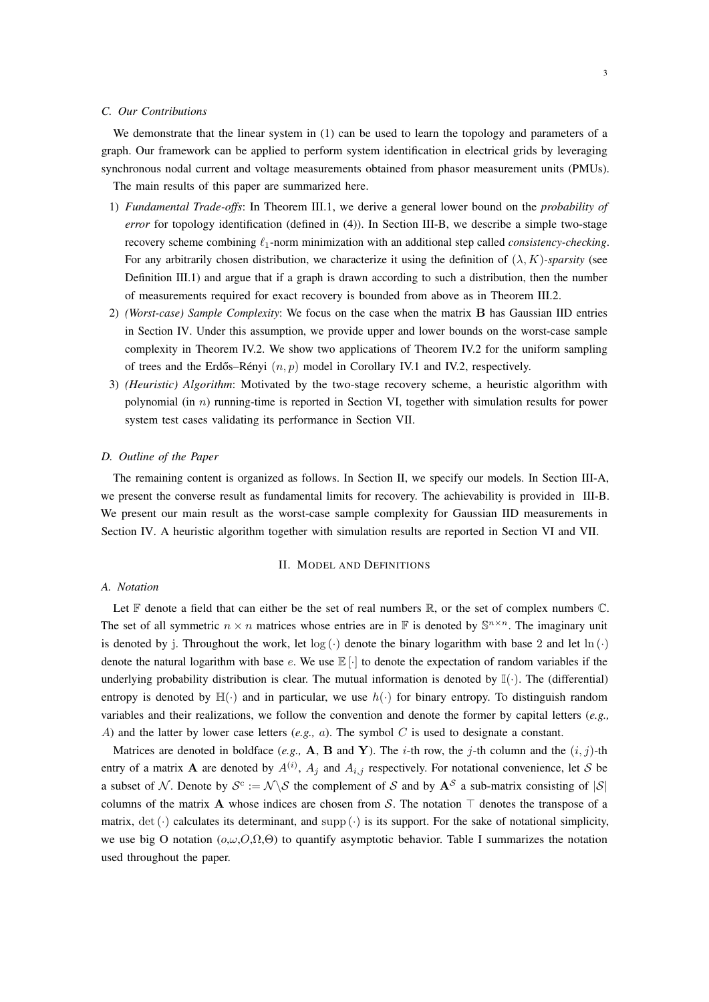# *C. Our Contributions*

We demonstrate that the linear system in (1) can be used to learn the topology and parameters of a graph. Our framework can be applied to perform system identification in electrical grids by leveraging synchronous nodal current and voltage measurements obtained from phasor measurement units (PMUs).

The main results of this paper are summarized here.

- 1) *Fundamental Trade-offs*: In Theorem III.1, we derive a general lower bound on the *probability of error* for topology identification (defined in (4)). In Section III-B, we describe a simple two-stage recovery scheme combining  $\ell_1$ -norm minimization with an additional step called *consistency-checking*. For any arbitrarily chosen distribution, we characterize it using the definition of  $(\lambda, K)$ *-sparsity* (see Definition III.1) and argue that if a graph is drawn according to such a distribution, then the number of measurements required for exact recovery is bounded from above as in Theorem III.2.
- 2) *(Worst-case) Sample Complexity*: We focus on the case when the matrix B has Gaussian IID entries in Section IV. Under this assumption, we provide upper and lower bounds on the worst-case sample complexity in Theorem IV.2. We show two applications of Theorem IV.2 for the uniform sampling of trees and the Erdős–Rényi  $(n, p)$  model in Corollary IV.1 and IV.2, respectively.
- 3) *(Heuristic) Algorithm*: Motivated by the two-stage recovery scheme, a heuristic algorithm with polynomial (in  $n$ ) running-time is reported in Section VI, together with simulation results for power system test cases validating its performance in Section VII.

#### *D. Outline of the Paper*

The remaining content is organized as follows. In Section II, we specify our models. In Section III-A, we present the converse result as fundamental limits for recovery. The achievability is provided in III-B. We present our main result as the worst-case sample complexity for Gaussian IID measurements in Section IV. A heuristic algorithm together with simulation results are reported in Section VI and VII.

# II. MODEL AND DEFINITIONS

#### *A. Notation*

Let  $\mathbb F$  denote a field that can either be the set of real numbers  $\mathbb R$ , or the set of complex numbers  $\mathbb C$ . The set of all symmetric  $n \times n$  matrices whose entries are in  $\mathbb F$  is denoted by  $\mathbb S^{n \times n}$ . The imaginary unit is denoted by j. Throughout the work, let  $log (·)$  denote the binary logarithm with base 2 and let  $ln (·)$ denote the natural logarithm with base e. We use  $\mathbb{E}[\cdot]$  to denote the expectation of random variables if the underlying probability distribution is clear. The mutual information is denoted by  $\mathbb{I}(\cdot)$ . The (differential) entropy is denoted by  $\mathbb{H}(\cdot)$  and in particular, we use  $h(\cdot)$  for binary entropy. To distinguish random variables and their realizations, we follow the convention and denote the former by capital letters (*e.g.,* A) and the latter by lower case letters (*e.g.,* a). The symbol C is used to designate a constant.

Matrices are denoted in boldface (*e.g.*, **A**, **B** and **Y**). The *i*-th row, the *j*-th column and the  $(i, j)$ -th entry of a matrix **A** are denoted by  $A^{(i)}$ ,  $A_j$  and  $A_{i,j}$  respectively. For notational convenience, let S be a subset of N. Denote by  $S^c := \mathcal{N} \setminus \mathcal{S}$  the complement of S and by  $A^S$  a sub-matrix consisting of  $|S|$ columns of the matrix A whose indices are chosen from S. The notation  $\top$  denotes the transpose of a matrix, det ( $\cdot$ ) calculates its determinant, and supp ( $\cdot$ ) is its support. For the sake of notational simplicity, we use big O notation ( $o, \omega, O, \Omega, \Theta$ ) to quantify asymptotic behavior. Table I summarizes the notation used throughout the paper.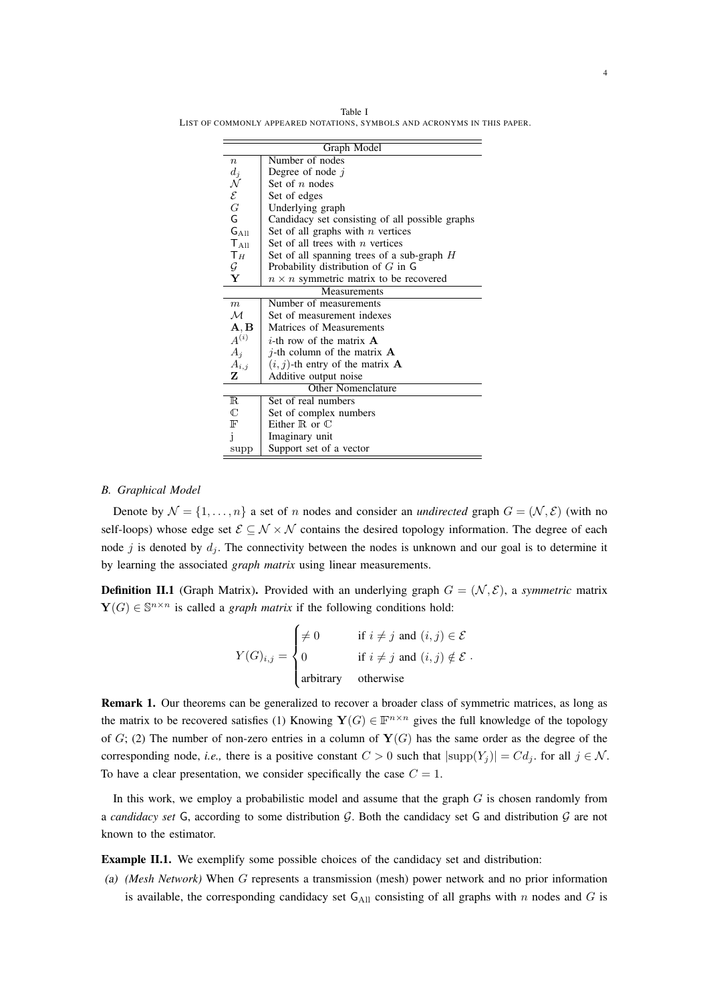Table I LIST OF COMMONLY APPEARED NOTATIONS, SYMBOLS AND ACRONYMS IN THIS PAPER.

|                                                                                 | Graph Model                                     |  |  |  |  |  |
|---------------------------------------------------------------------------------|-------------------------------------------------|--|--|--|--|--|
| $\boldsymbol{n}$                                                                | Number of nodes                                 |  |  |  |  |  |
|                                                                                 | Degree of node $j$                              |  |  |  |  |  |
|                                                                                 | Set of $n$ nodes                                |  |  |  |  |  |
| $\begin{array}{c} d_j \ \mathcal{N} \ \mathcal{E} \ G \ \mathsf{G} \end{array}$ | Set of edges                                    |  |  |  |  |  |
|                                                                                 | Underlying graph                                |  |  |  |  |  |
|                                                                                 | Candidacy set consisting of all possible graphs |  |  |  |  |  |
| $G_{\mathrm{All}}$                                                              | Set of all graphs with $n$ vertices             |  |  |  |  |  |
| $T_{\text{All}}$                                                                | Set of all trees with $n$ vertices              |  |  |  |  |  |
| $T_H$                                                                           | Set of all spanning trees of a sub-graph $H$    |  |  |  |  |  |
| G                                                                               | Probability distribution of $G$ in $G$          |  |  |  |  |  |
| Y                                                                               | $n \times n$ symmetric matrix to be recovered   |  |  |  |  |  |
| Measurements                                                                    |                                                 |  |  |  |  |  |
| $\boldsymbol{m}$                                                                | Number of measurements                          |  |  |  |  |  |
| $\mathcal M$                                                                    | Set of measurement indexes                      |  |  |  |  |  |
| $\mathbf{A}, \mathbf{B}$                                                        | Matrices of Measurements                        |  |  |  |  |  |
| $A^{(i)}$                                                                       | <i>i</i> -th row of the matrix $\bf{A}$         |  |  |  |  |  |
| $A_i$                                                                           | <i>i</i> -th column of the matrix $\bf{A}$      |  |  |  |  |  |
| $A_{i,j}$                                                                       | $(i, j)$ -th entry of the matrix <b>A</b>       |  |  |  |  |  |
| z                                                                               | Additive output noise                           |  |  |  |  |  |
|                                                                                 | <b>Other Nomenclature</b>                       |  |  |  |  |  |
| R.                                                                              | Set of real numbers                             |  |  |  |  |  |
| $\mathbb C$                                                                     | Set of complex numbers                          |  |  |  |  |  |
| F                                                                               | Either $\mathbb R$ or $\mathbb C$               |  |  |  |  |  |
| j                                                                               | Imaginary unit                                  |  |  |  |  |  |
| supp                                                                            | Support set of a vector                         |  |  |  |  |  |

# *B. Graphical Model*

Denote by  $\mathcal{N} = \{1, \ldots, n\}$  a set of n nodes and consider an *undirected* graph  $G = (\mathcal{N}, \mathcal{E})$  (with no self-loops) whose edge set  $\mathcal{E} \subseteq \mathcal{N} \times \mathcal{N}$  contains the desired topology information. The degree of each node j is denoted by  $d_i$ . The connectivity between the nodes is unknown and our goal is to determine it by learning the associated *graph matrix* using linear measurements.

**Definition II.1** (Graph Matrix). Provided with an underlying graph  $G = (\mathcal{N}, \mathcal{E})$ , a *symmetric* matrix  $\mathbf{Y}(G) \in \mathbb{S}^{n \times n}$  is called a *graph matrix* if the following conditions hold:

$$
Y(G)_{i,j} = \begin{cases} \neq 0 & \text{if } i \neq j \text{ and } (i,j) \in \mathcal{E} \\ 0 & \text{if } i \neq j \text{ and } (i,j) \notin \mathcal{E} \\ \text{arbitrary} & \text{otherwise} \end{cases}.
$$

Remark 1. Our theorems can be generalized to recover a broader class of symmetric matrices, as long as the matrix to be recovered satisfies (1) Knowing  $\mathbf{Y}(G) \in \mathbb{F}^{n \times n}$  gives the full knowledge of the topology of G; (2) The number of non-zero entries in a column of  $Y(G)$  has the same order as the degree of the corresponding node, *i.e.*, there is a positive constant  $C > 0$  such that  $|\text{supp}(Y_j)| = Cd_j$ , for all  $j \in \mathcal{N}$ . To have a clear presentation, we consider specifically the case  $C = 1$ .

In this work, we employ a probabilistic model and assume that the graph  $G$  is chosen randomly from a *candidacy set* G, according to some distribution G. Both the candidacy set G and distribution G are not known to the estimator.

Example II.1. We exemplify some possible choices of the candidacy set and distribution:

(a) *(Mesh Network)* When G represents a transmission (mesh) power network and no prior information is available, the corresponding candidacy set  $G_{\text{All}}$  consisting of all graphs with n nodes and G is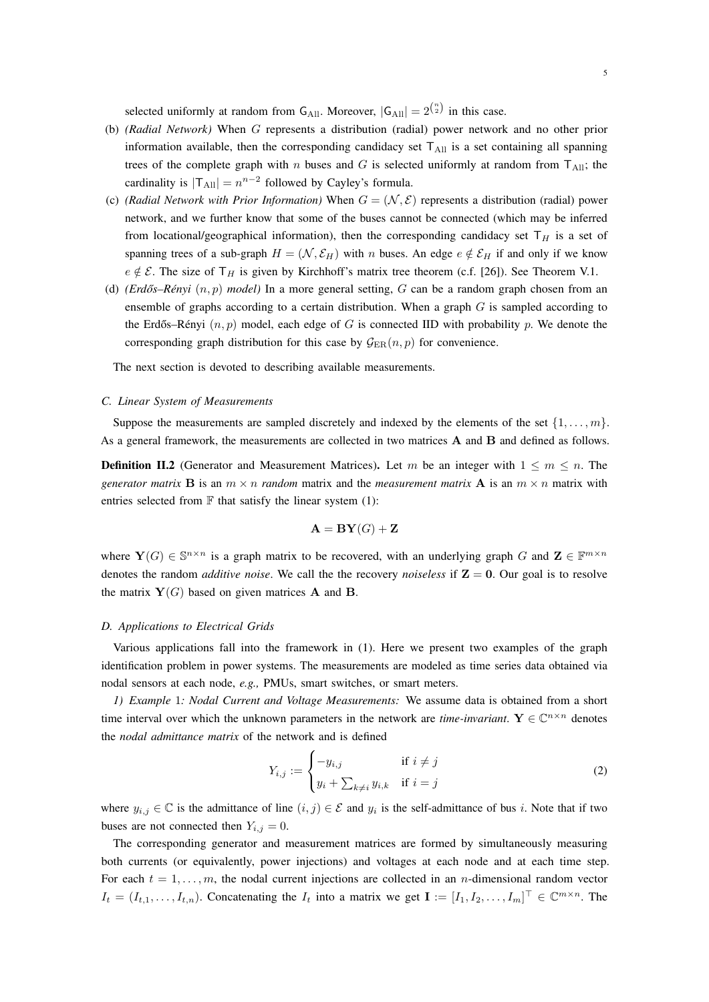selected uniformly at random from  $G_{All}$ . Moreover,  $|G_{All}| = 2^{\binom{n}{2}}$  in this case.

- (b) *(Radial Network)* When G represents a distribution (radial) power network and no other prior information available, then the corresponding candidacy set  $T_{All}$  is a set containing all spanning trees of the complete graph with n buses and G is selected uniformly at random from  $T_{All}$ ; the cardinality is  $|T_{All}| = n^{n-2}$  followed by Cayley's formula.
- (c) *(Radial Network with Prior Information)* When  $G = (\mathcal{N}, \mathcal{E})$  represents a distribution (radial) power network, and we further know that some of the buses cannot be connected (which may be inferred from locational/geographical information), then the corresponding candidacy set  $T_H$  is a set of spanning trees of a sub-graph  $H = (\mathcal{N}, \mathcal{E}_H)$  with n buses. An edge  $e \notin \mathcal{E}_H$  if and only if we know  $e \notin \mathcal{E}$ . The size of  $\mathsf{T}_H$  is given by Kirchhoff's matrix tree theorem (c.f. [26]). See Theorem V.1.
- (d) *(Erdős–Rényi*  $(n, p)$  *model)* In a more general setting, G can be a random graph chosen from an ensemble of graphs according to a certain distribution. When a graph  $G$  is sampled according to the Erdős–Rényi  $(n, p)$  model, each edge of G is connected IID with probability p. We denote the corresponding graph distribution for this case by  $\mathcal{G}_{\text{ER}}(n, p)$  for convenience.

The next section is devoted to describing available measurements.

# *C. Linear System of Measurements*

Suppose the measurements are sampled discretely and indexed by the elements of the set  $\{1, \ldots, m\}$ . As a general framework, the measurements are collected in two matrices A and B and defined as follows.

**Definition II.2** (Generator and Measurement Matrices). Let m be an integer with  $1 \le m \le n$ . The *generator matrix* **B** is an  $m \times n$  *random* matrix and the *measurement matrix* **A** is an  $m \times n$  matrix with entries selected from  $\mathbb F$  that satisfy the linear system (1):

$$
\mathbf{A} = \mathbf{BY}(G) + \mathbf{Z}
$$

where  $Y(G) \in \mathbb{S}^{n \times n}$  is a graph matrix to be recovered, with an underlying graph G and  $\mathbf{Z} \in \mathbb{F}^{m \times n}$ denotes the random *additive noise*. We call the the recovery *noiseless* if  $Z = 0$ . Our goal is to resolve the matrix  $Y(G)$  based on given matrices **A** and **B**.

#### *D. Applications to Electrical Grids*

Various applications fall into the framework in (1). Here we present two examples of the graph identification problem in power systems. The measurements are modeled as time series data obtained via nodal sensors at each node, *e.g.,* PMUs, smart switches, or smart meters.

*1) Example* 1*: Nodal Current and Voltage Measurements:* We assume data is obtained from a short time interval over which the unknown parameters in the network are *time-invariant*.  $Y \in \mathbb{C}^{n \times n}$  denotes the *nodal admittance matrix* of the network and is defined

$$
Y_{i,j} := \begin{cases} -y_{i,j} & \text{if } i \neq j \\ y_i + \sum_{k \neq i} y_{i,k} & \text{if } i = j \end{cases} \tag{2}
$$

where  $y_{i,j} \in \mathbb{C}$  is the admittance of line  $(i, j) \in \mathcal{E}$  and  $y_i$  is the self-admittance of bus i. Note that if two buses are not connected then  $Y_{i,j} = 0$ .

The corresponding generator and measurement matrices are formed by simultaneously measuring both currents (or equivalently, power injections) and voltages at each node and at each time step. For each  $t = 1, \ldots, m$ , the nodal current injections are collected in an *n*-dimensional random vector  $I_t = (I_{t,1}, \ldots, I_{t,n})$ . Concatenating the  $I_t$  into a matrix we get  $\mathbf{I} := [I_1, I_2, \ldots, I_m]^\top \in \mathbb{C}^{m \times n}$ . The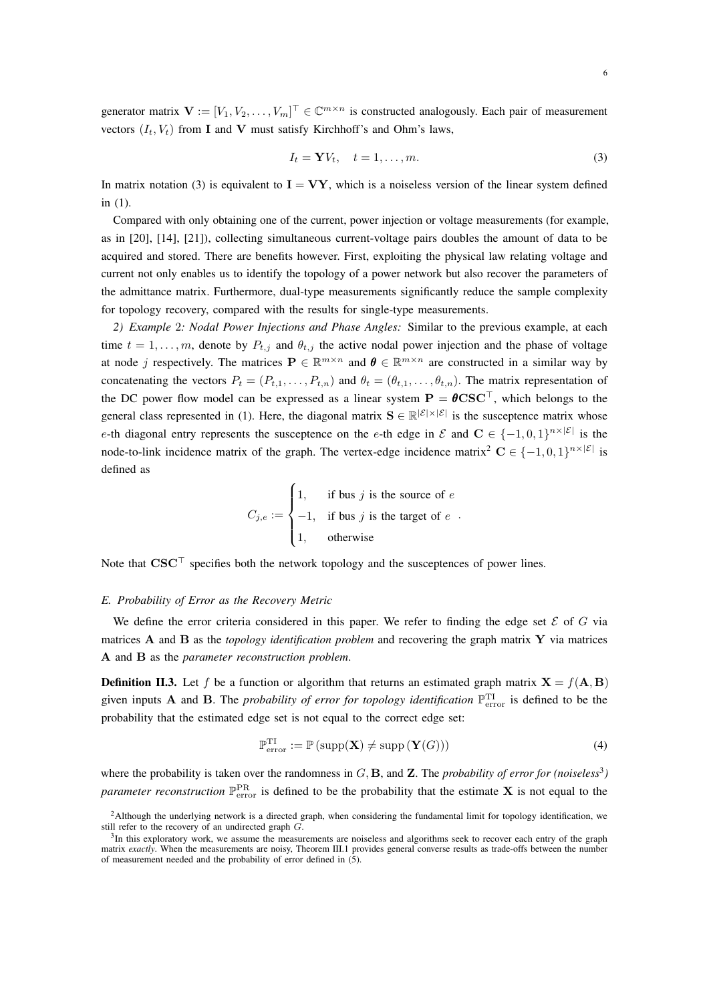generator matrix  $\mathbf{V} := [V_1, V_2, \dots, V_m]^\top \in \mathbb{C}^{m \times n}$  is constructed analogously. Each pair of measurement vectors  $(I_t, V_t)$  from **I** and **V** must satisfy Kirchhoff's and Ohm's laws,

$$
I_t = \mathbf{Y} V_t, \quad t = 1, \dots, m. \tag{3}
$$

In matrix notation (3) is equivalent to  $I = VY$ , which is a noiseless version of the linear system defined in (1).

Compared with only obtaining one of the current, power injection or voltage measurements (for example, as in [20], [14], [21]), collecting simultaneous current-voltage pairs doubles the amount of data to be acquired and stored. There are benefits however. First, exploiting the physical law relating voltage and current not only enables us to identify the topology of a power network but also recover the parameters of the admittance matrix. Furthermore, dual-type measurements significantly reduce the sample complexity for topology recovery, compared with the results for single-type measurements.

*2) Example* 2*: Nodal Power Injections and Phase Angles:* Similar to the previous example, at each time  $t = 1, \ldots, m$ , denote by  $P_{t,j}$  and  $\theta_{t,j}$  the active nodal power injection and the phase of voltage at node j respectively. The matrices  $P \in \mathbb{R}^{m \times n}$  and  $\theta \in \mathbb{R}^{m \times n}$  are constructed in a similar way by concatenating the vectors  $P_t = (P_{t,1}, \ldots, P_{t,n})$  and  $\theta_t = (\theta_{t,1}, \ldots, \theta_{t,n})$ . The matrix representation of the DC power flow model can be expressed as a linear system  $P = \theta \text{CSC}^{\top}$ , which belongs to the general class represented in (1). Here, the diagonal matrix  $S \in \mathbb{R}^{|\mathcal{E}| \times |\mathcal{E}|}$  is the susceptence matrix whose e-th diagonal entry represents the susceptence on the e-th edge in  $\mathcal E$  and  $\mathbf C \in \{-1,0,1\}^{n\times|\mathcal E|}$  is the node-to-link incidence matrix of the graph. The vertex-edge incidence matrix<sup>2</sup> C  $\in \{-1,0,1\}^{n\times |\mathcal{E}|}$  is defined as

$$
C_{j,e} := \begin{cases} 1, & \text{if bus } j \text{ is the source of } e \\ -1, & \text{if bus } j \text{ is the target of } e \\ 1, & \text{otherwise} \end{cases}
$$

Note that  $CSC<sup>T</sup>$  specifies both the network topology and the susceptences of power lines.

#### *E. Probability of Error as the Recovery Metric*

We define the error criteria considered in this paper. We refer to finding the edge set  $\mathcal E$  of G via matrices A and B as the *topology identification problem* and recovering the graph matrix Y via matrices A and B as the *parameter reconstruction problem*.

**Definition II.3.** Let f be a function or algorithm that returns an estimated graph matrix  $X = f(A, B)$ given inputs **A** and **B**. The *probability of error for topology identification*  $\mathbb{P}_{\text{error}}^{\text{TI}}$  is defined to be the probability that the estimated edge set is not equal to the correct edge set:

$$
\mathbb{P}_{\text{error}}^{\text{TI}} := \mathbb{P}\left(\text{supp}(\mathbf{X}) \neq \text{supp}\left(\mathbf{Y}(G)\right)\right) \tag{4}
$$

where the probability is taken over the randomness in  $G$ , **B**, and **Z**. The *probability of error for (noiseless*<sup>3</sup>) *parameter reconstruction*  $\mathbb{P}_{\rm error}^{\rm PR}$  is defined to be the probability that the estimate **X** is not equal to the

<sup>&</sup>lt;sup>2</sup>Although the underlying network is a directed graph, when considering the fundamental limit for topology identification, we still refer to the recovery of an undirected graph G.

<sup>&</sup>lt;sup>3</sup>In this exploratory work, we assume the measurements are noiseless and algorithms seek to recover each entry of the graph matrix *exactly*. When the measurements are noisy, Theorem III.1 provides general converse results as trade-offs between the number of measurement needed and the probability of error defined in (5).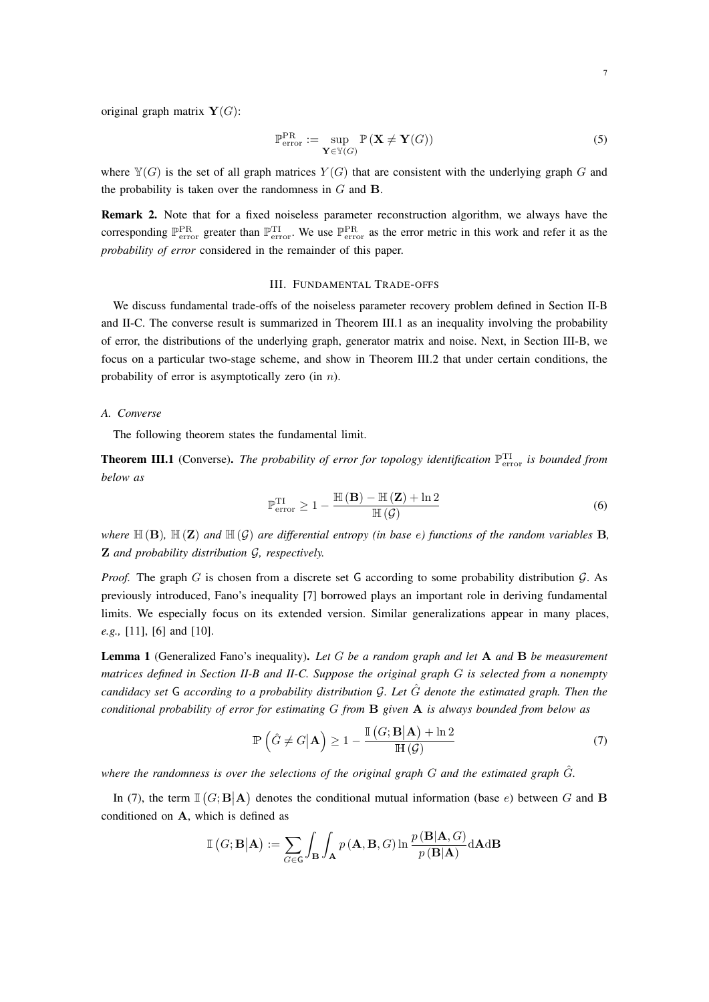original graph matrix  $Y(G)$ :

$$
\mathbb{P}_{\text{error}}^{\text{PR}} := \sup_{\mathbf{Y} \in \mathbb{Y}(G)} \mathbb{P}\left(\mathbf{X} \neq \mathbf{Y}(G)\right) \tag{5}
$$

where  $\mathbb{Y}(G)$  is the set of all graph matrices  $Y(G)$  that are consistent with the underlying graph G and the probability is taken over the randomness in  $G$  and  $B$ .

Remark 2. Note that for a fixed noiseless parameter reconstruction algorithm, we always have the corresponding  $\mathbb{P}_{\text{error}}^{\text{PR}}$  greater than  $\mathbb{P}_{\text{error}}^{\text{PI}}$ . We use  $\mathbb{P}_{\text{error}}^{\text{PR}}$  as the error metric in this work and refer it as the *probability of error* considered in the remainder of this paper.

# III. FUNDAMENTAL TRADE-OFFS

We discuss fundamental trade-offs of the noiseless parameter recovery problem defined in Section II-B and II-C. The converse result is summarized in Theorem III.1 as an inequality involving the probability of error, the distributions of the underlying graph, generator matrix and noise. Next, in Section III-B, we focus on a particular two-stage scheme, and show in Theorem III.2 that under certain conditions, the probability of error is asymptotically zero (in  $n$ ).

# *A. Converse*

The following theorem states the fundamental limit.

**Theorem III.1** (Converse). The probability of error for topology identification  $\mathbb{P}_{\text{error}}^{\text{TI}}$  is bounded from *below as*

$$
\mathbb{P}_{\text{error}}^{\text{TI}} \ge 1 - \frac{\mathbb{H}(\mathbf{B}) - \mathbb{H}(\mathbf{Z}) + \ln 2}{\mathbb{H}(\mathcal{G})}
$$
(6)

*where*  $\mathbb{H}(B)$ ,  $\mathbb{H}(Z)$  *and*  $\mathbb{H}(G)$  *are differential entropy (in base e) functions of the random variables* **B**, Z *and probability distribution* G*, respectively.*

*Proof.* The graph G is chosen from a discrete set G according to some probability distribution  $\mathcal{G}$ . As previously introduced, Fano's inequality [7] borrowed plays an important role in deriving fundamental limits. We especially focus on its extended version. Similar generalizations appear in many places, *e.g.,* [11], [6] and [10].

Lemma 1 (Generalized Fano's inequality). *Let* G *be a random graph and let* A *and* B *be measurement matrices defined in Section II-B and II-C. Suppose the original graph* G *is selected from a nonempty candidacy set* G *according to a probability distribution* G*. Let* Gˆ *denote the estimated graph. Then the conditional probability of error for estimating* G *from* B *given* A *is always bounded from below as*

$$
\mathbb{P}\left(\hat{G} \neq G | \mathbf{A}\right) \ge 1 - \frac{\mathbb{I}\left(G; \mathbf{B} | \mathbf{A}\right) + \ln 2}{\mathbb{H}\left(\mathcal{G}\right)}\tag{7}
$$

*where the randomness is over the selections of the original graph*  $G$  *and the estimated graph*  $\hat{G}$ *.* 

In (7), the term  $\mathbb{I}(G;\mathbf{B}|\mathbf{A})$  denotes the conditional mutual information (base e) between G and B conditioned on A, which is defined as

$$
\mathbb{I}\left(G;\mathbf{B}|\mathbf{A}\right) := \sum_{G\in\mathbf{G}} \int_{\mathbf{B}} \int_{\mathbf{A}} p\left(\mathbf{A},\mathbf{B},G\right) \ln \frac{p\left(\mathbf{B}|\mathbf{A},G\right)}{p\left(\mathbf{B}|\mathbf{A}\right)} d\mathbf{A} d\mathbf{B}
$$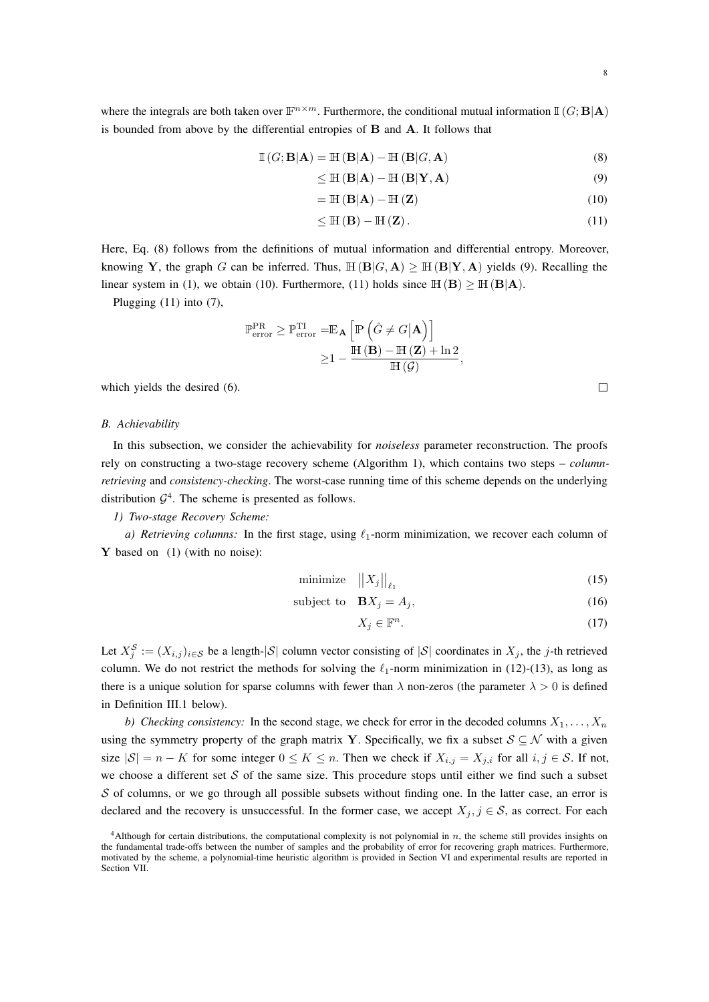where the integrals are both taken over  $\mathbb{F}^{n \times m}$ . Furthermore, the conditional mutual information  $\mathbb{I}(G;\mathbf{B}|\mathbf{A})$ is bounded from above by the differential entropies of B and A. It follows that

$$
\mathbb{I}(G; \mathbf{B}|\mathbf{A}) = \mathbb{H}(\mathbf{B}|\mathbf{A}) - \mathbb{H}(\mathbf{B}|G, \mathbf{A})
$$
\n(8)

$$
\leq \mathbb{H}\left(\mathbf{B}|\mathbf{A}\right) - \mathbb{H}\left(\mathbf{B}|\mathbf{Y},\mathbf{A}\right) \tag{9}
$$

$$
= \mathbb{H}(\mathbf{B}|\mathbf{A}) - \mathbb{H}(\mathbf{Z}) \tag{10}
$$

$$
\leq \mathbb{H}\left(\mathbf{B}\right) - \mathbb{H}\left(\mathbf{Z}\right). \tag{11}
$$

Here, Eq. (8) follows from the definitions of mutual information and differential entropy. Moreover, knowing Y, the graph G can be inferred. Thus,  $\mathbb{H}(\mathbf{B}|G,\mathbf{A}) \geq \mathbb{H}(\mathbf{B}|\mathbf{Y},\mathbf{A})$  yields (9). Recalling the linear system in (1), we obtain (10). Furthermore, (11) holds since  $\mathbb{H}(\mathbf{B}) \geq \mathbb{H}(\mathbf{B}|\mathbf{A})$ .

Plugging (11) into (7),

$$
\mathbb{P}_{\text{error}}^{\text{PR}} \geq \mathbb{P}_{\text{error}}^{\text{TI}} = \mathbb{E}_{\mathbf{A}} \left[ \mathbb{P} \left( \hat{G} \neq G | \mathbf{A} \right) \right]
$$

$$
\geq 1 - \frac{\mathbb{H} \left( \mathbf{B} \right) - \mathbb{H} \left( \mathbf{Z} \right) + \ln 2}{\mathbb{H} \left( \mathcal{G} \right)},
$$

which yields the desired (6).

#### *B. Achievability*

In this subsection, we consider the achievability for *noiseless* parameter reconstruction. The proofs rely on constructing a two-stage recovery scheme (Algorithm 1), which contains two steps – *columnretrieving* and *consistency-checking*. The worst-case running time of this scheme depends on the underlying distribution  $\mathcal{G}^4$ . The scheme is presented as follows.

# *1) Two-stage Recovery Scheme:*

*a) Retrieving columns:* In the first stage, using  $\ell_1$ -norm minimization, we recover each column of Y based on (1) (with no noise):

$$
\text{minimize} \quad ||X_j||_{\ell_1} \tag{15}
$$

$$
subject to \quad \mathbf{B}X_j = A_j,\tag{16}
$$

$$
X_j \in \mathbb{F}^n. \tag{17}
$$

Let  $X_j^S := (X_{i,j})_{i \in S}$  be a length- $|S|$  column vector consisting of  $|S|$  coordinates in  $X_j$ , the j-th retrieved column. We do not restrict the methods for solving the  $\ell_1$ -norm minimization in (12)-(13), as long as there is a unique solution for sparse columns with fewer than  $\lambda$  non-zeros (the parameter  $\lambda > 0$  is defined in Definition III.1 below).

*b)* Checking consistency: In the second stage, we check for error in the decoded columns  $X_1, \ldots, X_n$ using the symmetry property of the graph matrix Y. Specifically, we fix a subset  $S \subseteq \mathcal{N}$  with a given size  $|S| = n - K$  for some integer  $0 \le K \le n$ . Then we check if  $X_{i,j} = X_{j,i}$  for all  $i, j \in S$ . If not, we choose a different set  $S$  of the same size. This procedure stops until either we find such a subset  $S$  of columns, or we go through all possible subsets without finding one. In the latter case, an error is declared and the recovery is unsuccessful. In the former case, we accept  $X_j, j \in \mathcal{S}$ , as correct. For each

 $4$ Although for certain distributions, the computational complexity is not polynomial in  $n$ , the scheme still provides insights on the fundamental trade-offs between the number of samples and the probability of error for recovering graph matrices. Furthermore, motivated by the scheme, a polynomial-time heuristic algorithm is provided in Section VI and experimental results are reported in Section VII.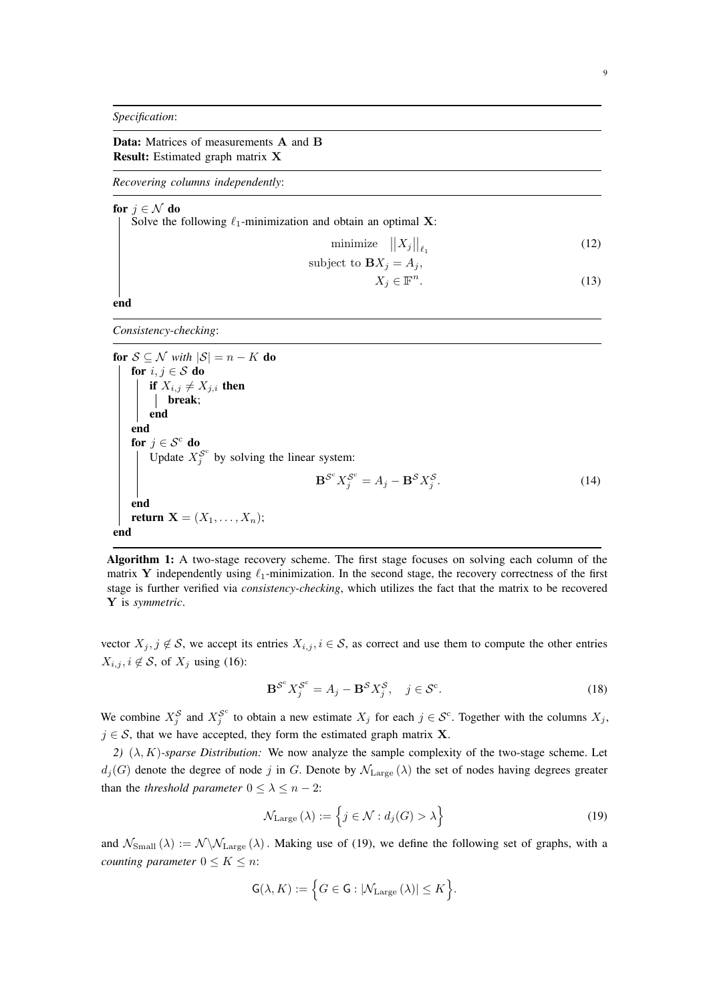*Specification*:

Data: Matrices of measurements A and B Result: Estimated graph matrix X

*Recovering columns independently*:

for  $j \in \mathcal{N}$  do

Solve the following  $\ell_1$ -minimization and obtain an optimal **X**:

$$
\text{minimize} \quad ||X_j||_{\ell_1} \tag{12}
$$

subject to 
$$
\mathbf{B}X_j = A_j
$$
,

$$
X_j \in \mathbb{F}^n. \tag{13}
$$

end

*Consistency-checking*:

for  $S \subseteq \mathcal{N}$  *with*  $|S| = n - K$  do for  $i, j \in S$  do if  $X_{i,j} \neq X_{j,i}$  then break; end end for  $j \in \mathcal{S}^c$  do Update  $X_j^{\mathcal{S}^c}$  by solving the linear system:  $\mathbf{B}^{\mathcal{S}^c} X_j^{\mathcal{S}^c} = A_j - \mathbf{B}^{\mathcal{S}} X_j^{\mathcal{S}}$  $(14)$ end return  $\mathbf{X} = (X_1, \ldots, X_n);$ end

Algorithm 1: A two-stage recovery scheme. The first stage focuses on solving each column of the matrix Y independently using  $\ell_1$ -minimization. In the second stage, the recovery correctness of the first stage is further verified via *consistency-checking*, which utilizes the fact that the matrix to be recovered Y is *symmetric*.

vector  $X_j$ ,  $j \notin \mathcal{S}$ , we accept its entries  $X_{i,j}$ ,  $i \in \mathcal{S}$ , as correct and use them to compute the other entries  $X_{i,j}, i \notin \mathcal{S}$ , of  $X_j$  using (16):

$$
\mathbf{B}^{\mathcal{S}^c} X_j^{\mathcal{S}^c} = A_j - \mathbf{B}^{\mathcal{S}} X_j^{\mathcal{S}}, \quad j \in \mathcal{S}^c.
$$
 (18)

We combine  $X_j^S$  and  $X_j^{S^c}$  to obtain a new estimate  $X_j$  for each  $j \in S^c$ . Together with the columns  $X_j$ ,  $j \in S$ , that we have accepted, they form the estimated graph matrix **X**.

*2)*  $(\lambda, K)$ *-sparse Distribution:* We now analyze the sample complexity of the two-stage scheme. Let  $d_j(G)$  denote the degree of node j in G. Denote by  $\mathcal{N}_{\text{Large}}(\lambda)$  the set of nodes having degrees greater than the *threshold parameter*  $0 \leq \lambda \leq n - 2$ :

$$
\mathcal{N}_{\text{Large}}\left(\lambda\right) := \left\{ j \in \mathcal{N} : d_j(G) > \lambda \right\} \tag{19}
$$

and  $\mathcal{N}_{Small}(\lambda) := \mathcal{N} \backslash \mathcal{N}_{Large}(\lambda)$ . Making use of (19), we define the following set of graphs, with a *counting parameter*  $0 \leq K \leq n$ :

$$
\mathsf{G}(\lambda,K) := \Big\{ G \in \mathsf{G} : |\mathcal{N}_{\mathrm{Large}}\left(\lambda\right)| \leq K \Big\}.
$$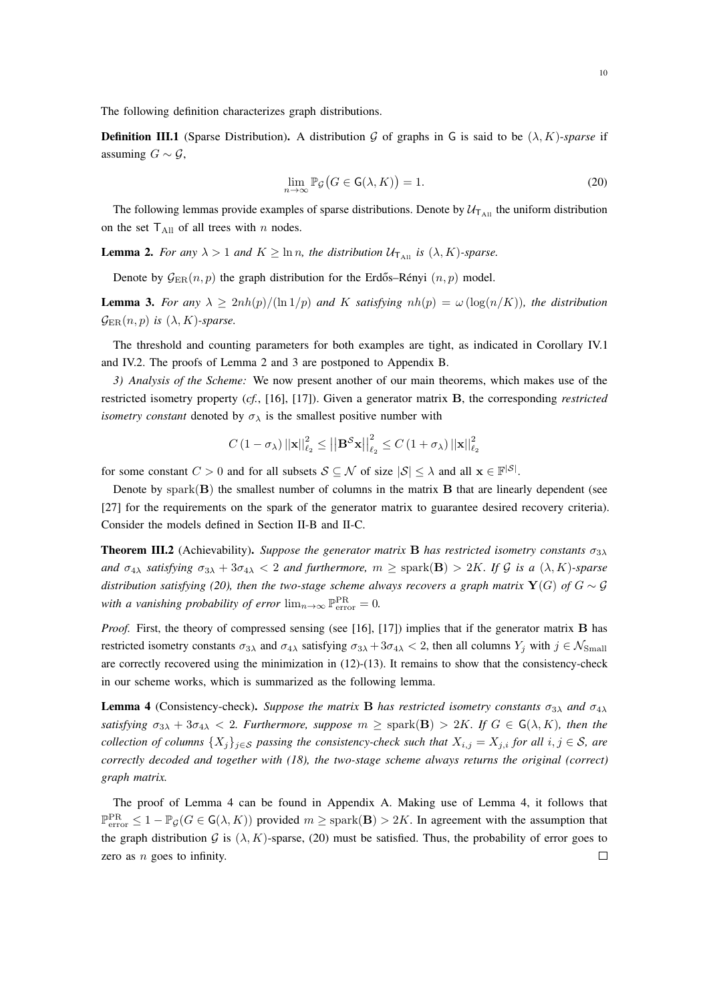The following definition characterizes graph distributions.

**Definition III.1** (Sparse Distribution). A distribution G of graphs in G is said to be  $(\lambda, K)$ -*sparse* if assuming  $G ∼ G$ ,

$$
\lim_{n \to \infty} \mathbb{P}_{\mathcal{G}}\big(G \in \mathsf{G}(\lambda, K)\big) = 1. \tag{20}
$$

The following lemmas provide examples of sparse distributions. Denote by  $U_{\text{T}_{\text{All}}}$  the uniform distribution on the set  $T_{\text{All}}$  of all trees with n nodes.

**Lemma 2.** *For any*  $\lambda > 1$  *and*  $K \geq \ln n$ *, the distribution*  $\mathcal{U}_{\tau_{All}}$  *is*  $(\lambda, K)$ *-sparse.* 

Denote by  $\mathcal{G}_{\text{ER}}(n, p)$  the graph distribution for the Erdős–Rényi  $(n, p)$  model.

**Lemma 3.** For any  $\lambda \geq 2nh(p)/(ln(1/p))$  and K satisfying  $nh(p) = \omega(\log(n/K))$ , the distribution  $\mathcal{G}_{\text{ER}}(n, p)$  *is*  $(\lambda, K)$ *-sparse.* 

The threshold and counting parameters for both examples are tight, as indicated in Corollary IV.1 and IV.2. The proofs of Lemma 2 and 3 are postponed to Appendix B.

*3) Analysis of the Scheme:* We now present another of our main theorems, which makes use of the restricted isometry property (*cf.*, [16], [17]). Given a generator matrix B, the corresponding *restricted isometry constant* denoted by  $\sigma_{\lambda}$  is the smallest positive number with

$$
C\left(1-\sigma_{\lambda}\right) \left|\left|\mathbf{x}\right|\right|^{2}_{\ell_{2}} \leq \left|\left|\mathbf{B}^{\mathcal{S}}\mathbf{x}\right|\right|^{2}_{\ell_{2}} \leq C\left(1+\sigma_{\lambda}\right) \left|\left|\mathbf{x}\right|\right|^{2}_{\ell_{2}}
$$

for some constant  $C > 0$  and for all subsets  $S \subseteq \mathcal{N}$  of size  $|\mathcal{S}| \leq \lambda$  and all  $\mathbf{x} \in \mathbb{F}^{|\mathcal{S}|}$ .

Denote by spark $(B)$  the smallest number of columns in the matrix  $B$  that are linearly dependent (see [27] for the requirements on the spark of the generator matrix to guarantee desired recovery criteria). Consider the models defined in Section II-B and II-C.

**Theorem III.2** (Achievability). *Suppose the generator matrix* **B** *has restricted isometry constants*  $\sigma_{3\lambda}$ *and*  $\sigma_{4\lambda}$  *satisfying*  $\sigma_{3\lambda} + 3\sigma_{4\lambda} < 2$  *and furthermore,*  $m \geq$  spark(**B**) > 2K*. If* G *is a* ( $\lambda$ , K)-sparse *distribution satisfying (20), then the two-stage scheme always recovers a graph matrix*  $Y(G)$  *of*  $G \sim \mathcal{G}$ *with a vanishing probability of error*  $\lim_{n\to\infty} \mathbb{P}_{\text{error}}^{\text{PR}} = 0$ .

*Proof.* First, the theory of compressed sensing (see [16], [17]) implies that if the generator matrix **B** has restricted isometry constants  $\sigma_{3\lambda}$  and  $\sigma_{4\lambda}$  satisfying  $\sigma_{3\lambda} + 3\sigma_{4\lambda} < 2$ , then all columns  $Y_i$  with  $j \in \mathcal{N}_{\text{Small}}$ are correctly recovered using the minimization in (12)-(13). It remains to show that the consistency-check in our scheme works, which is summarized as the following lemma.

**Lemma 4** (Consistency-check). *Suppose the matrix* **B** *has restricted isometry constants*  $\sigma_{3\lambda}$  *and*  $\sigma_{4\lambda}$ *satisfying*  $\sigma_{3\lambda} + 3\sigma_{4\lambda} < 2$ *. Furthermore, suppose*  $m \geq$  spark(**B**)  $> 2K$ *. If*  $G \in G(\lambda, K)$ *, then the collection of columns*  $\{X_j\}_{j\in\mathcal{S}}$  *passing the consistency-check such that*  $X_{i,j} = X_{j,i}$  *for all*  $i, j \in \mathcal{S}$ *, are correctly decoded and together with (18), the two-stage scheme always returns the original (correct) graph matrix.*

The proof of Lemma 4 can be found in Appendix A. Making use of Lemma 4, it follows that  $\mathbb{P}_{\text{error}}^{\text{PR}} \leq 1 - \mathbb{P}_{\mathcal{G}}(G \in G(\lambda, K))$  provided  $m \geq$  spark $(\mathbf{B}) > 2K$ . In agreement with the assumption that the graph distribution G is  $(\lambda, K)$ -sparse, (20) must be satisfied. Thus, the probability of error goes to zero as  $n$  goes to infinity.  $\Box$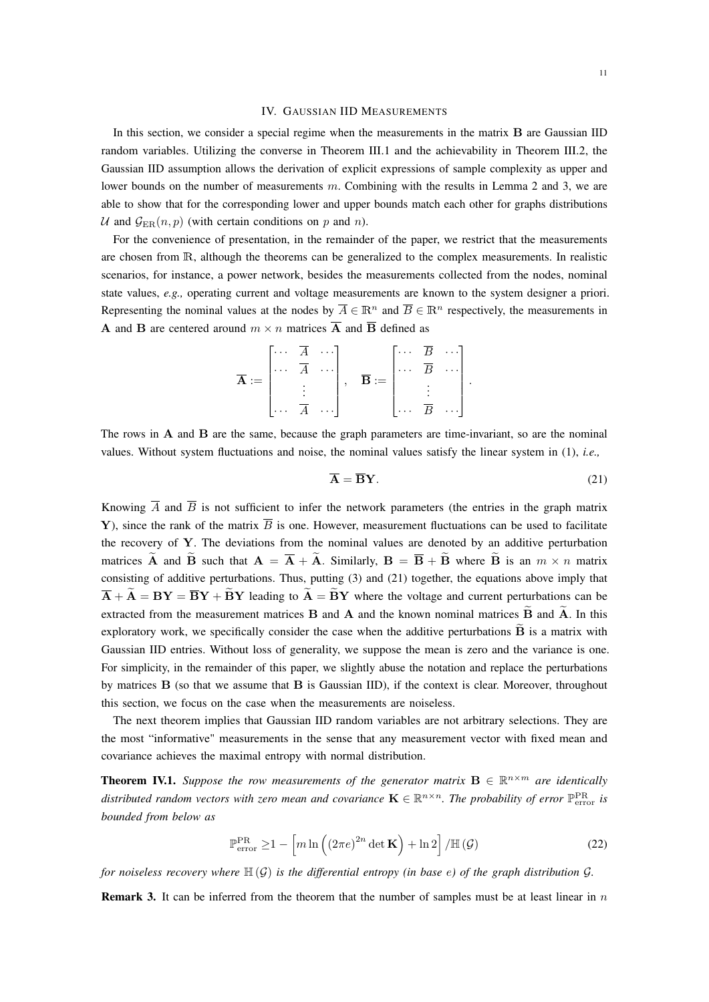### IV. GAUSSIAN IID MEASUREMENTS

In this section, we consider a special regime when the measurements in the matrix B are Gaussian IID random variables. Utilizing the converse in Theorem III.1 and the achievability in Theorem III.2, the Gaussian IID assumption allows the derivation of explicit expressions of sample complexity as upper and lower bounds on the number of measurements m. Combining with the results in Lemma 2 and 3, we are able to show that for the corresponding lower and upper bounds match each other for graphs distributions U and  $\mathcal{G}_{\text{ER}}(n, p)$  (with certain conditions on p and n).

For the convenience of presentation, in the remainder of the paper, we restrict that the measurements are chosen from R, although the theorems can be generalized to the complex measurements. In realistic scenarios, for instance, a power network, besides the measurements collected from the nodes, nominal state values, *e.g.,* operating current and voltage measurements are known to the system designer a priori. Representing the nominal values at the nodes by  $\overline{A} \in \mathbb{R}^n$  and  $\overline{B} \in \mathbb{R}^n$  respectively, the measurements in **A** and **B** are centered around  $m \times n$  matrices  $\overline{A}$  and  $\overline{B}$  defined as

|                           | $\begin{bmatrix} \cdots & \overline{A} & \cdots \end{bmatrix}$ |                                  |  |                                                                 | $\begin{bmatrix} \cdots & \overline{B} & \cdots \end{bmatrix}$ |                |  |
|---------------------------|----------------------------------------------------------------|----------------------------------|--|-----------------------------------------------------------------|----------------------------------------------------------------|----------------|--|
| $\overline{\mathbf{A}}:=$ | $\begin{bmatrix} \dots & \overline{A} & \dots \end{bmatrix}$   |                                  |  | $\overline{\mathbf{B}} := \begin{bmatrix} \cdots \end{bmatrix}$ |                                                                | $\overline{B}$ |  |
|                           |                                                                |                                  |  |                                                                 |                                                                |                |  |
|                           |                                                                | $\cdots$ $\overline{A}$ $\cdots$ |  |                                                                 |                                                                | $\overline{B}$ |  |

The rows in A and B are the same, because the graph parameters are time-invariant, so are the nominal values. Without system fluctuations and noise, the nominal values satisfy the linear system in (1), *i.e.,*

$$
\overline{\mathbf{A}} = \overline{\mathbf{B}} \mathbf{Y}.\tag{21}
$$

Knowing  $\overline{A}$  and  $\overline{B}$  is not sufficient to infer the network parameters (the entries in the graph matrix Y), since the rank of the matrix  $\overline{B}$  is one. However, measurement fluctuations can be used to facilitate the recovery of  $Y$ . The deviations from the nominal values are denoted by an additive perturbation matrices  $\tilde{A}$  and  $\tilde{B}$  such that  $A = \overline{A} + \tilde{A}$ . Similarly,  $B = \overline{B} + \tilde{B}$  where  $\tilde{B}$  is an  $m \times n$  matrix consisting of additive perturbations. Thus, putting (3) and (21) together, the equations above imply that  $\overline{A} + \widetilde{A} = BY = \overline{BY} + \widetilde{BY}$  leading to  $\widetilde{A} = \widetilde{BY}$  where the voltage and current perturbations can be extracted from the measurement matrices  $B$  and  $A$  and the known nominal matrices  $\overline{B}$  and  $\overline{A}$ . In this exploratory work, we specifically consider the case when the additive perturbations  $\tilde{\mathbf{B}}$  is a matrix with Gaussian IID entries. Without loss of generality, we suppose the mean is zero and the variance is one. For simplicity, in the remainder of this paper, we slightly abuse the notation and replace the perturbations by matrices  $\bf{B}$  (so that we assume that  $\bf{B}$  is Gaussian IID), if the context is clear. Moreover, throughout this section, we focus on the case when the measurements are noiseless.

The next theorem implies that Gaussian IID random variables are not arbitrary selections. They are the most "informative" measurements in the sense that any measurement vector with fixed mean and covariance achieves the maximal entropy with normal distribution.

**Theorem IV.1.** Suppose the row measurements of the generator matrix  $B \in \mathbb{R}^{n \times m}$  are identically distributed random vectors with zero mean and covariance  $\mathbf{K} \in \mathbb{R}^{n \times n}$ . The probability of error  $\mathbb{P}_{\rm error}^{\rm PR}$  is *bounded from below as*

$$
\mathbb{P}_{\text{error}}^{\text{PR}} \ge 1 - \left[ m \ln \left( \left( 2\pi e \right)^{2n} \det \mathbf{K} \right) + \ln 2 \right] / \mathbb{H} \left( \mathcal{G} \right) \tag{22}
$$

*for noiseless recovery where*  $\mathbb{H}(G)$  *is the differential entropy (in base e) of the graph distribution*  $G$ *.* 

**Remark 3.** It can be inferred from the theorem that the number of samples must be at least linear in  $n$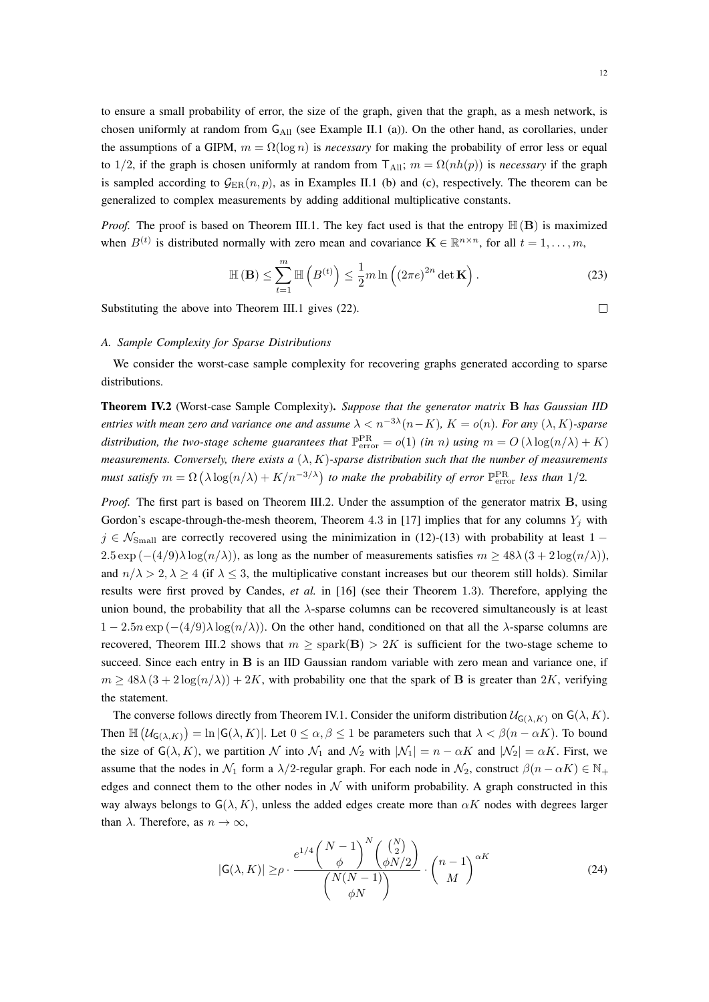to ensure a small probability of error, the size of the graph, given that the graph, as a mesh network, is chosen uniformly at random from  $G_{All}$  (see Example II.1 (a)). On the other hand, as corollaries, under the assumptions of a GIPM,  $m = \Omega(\log n)$  is *necessary* for making the probability of error less or equal to 1/2, if the graph is chosen uniformly at random from  $T_{All}$ ;  $m = \Omega(nh(p))$  is *necessary* if the graph is sampled according to  $\mathcal{G}_{\text{ER}}(n, p)$ , as in Examples II.1 (b) and (c), respectively. The theorem can be generalized to complex measurements by adding additional multiplicative constants.

*Proof.* The proof is based on Theorem III.1. The key fact used is that the entropy  $\mathbb{H}(\mathbf{B})$  is maximized when  $B^{(t)}$  is distributed normally with zero mean and covariance  $\mathbf{K} \in \mathbb{R}^{n \times n}$ , for all  $t = 1, \ldots, m$ ,

$$
\mathbb{H}(\mathbf{B}) \le \sum_{t=1}^{m} \mathbb{H}\left(B^{(t)}\right) \le \frac{1}{2} m \ln\left(\left(2\pi e\right)^{2n} \det \mathbf{K}\right). \tag{23}
$$

Substituting the above into Theorem III.1 gives (22).

 $\Box$ 

#### *A. Sample Complexity for Sparse Distributions*

We consider the worst-case sample complexity for recovering graphs generated according to sparse distributions.

Theorem IV.2 (Worst-case Sample Complexity). *Suppose that the generator matrix* B *has Gaussian IID entries with mean zero and variance one and assume*  $\lambda < n^{-3\lambda}(n-K)$ ,  $K = o(n)$ *. For any*  $(\lambda, K)$ -sparse *distribution, the two-stage scheme guarantees that*  $\mathbb{P}_{\text{error}}^{\text{PR}} = o(1)$  *(in n)* using  $m = O(\lambda \log(n/\lambda) + K)$ *measurements. Conversely, there exists a* (λ, K)*-sparse distribution such that the number of measurements must satisfy*  $m = \Omega\left(\lambda \log(n/\lambda) + K/n^{-3/\lambda}\right)$  to make the probability of error  $\mathbb{P}_{\rm error}^{\rm PR}$  less than 1/2.

*Proof.* The first part is based on Theorem III.2. Under the assumption of the generator matrix **B**, using Gordon's escape-through-the-mesh theorem, Theorem 4.3 in [17] implies that for any columns  $Y_i$  with  $j \in \mathcal{N}_{Small}$  are correctly recovered using the minimization in (12)-(13) with probability at least 1 −  $2.5 \exp(-(4/9)\lambda \log(n/\lambda))$ , as long as the number of measurements satisfies  $m \ge 48\lambda (3 + 2 \log(n/\lambda))$ , and  $n/\lambda > 2$ ,  $\lambda \ge 4$  (if  $\lambda \le 3$ , the multiplicative constant increases but our theorem still holds). Similar results were first proved by Candes, *et al.* in [16] (see their Theorem 1.3). Therefore, applying the union bound, the probability that all the  $\lambda$ -sparse columns can be recovered simultaneously is at least  $1 - 2.5n \exp(-(4/9)\lambda \log(n/\lambda))$ . On the other hand, conditioned on that all the  $\lambda$ -sparse columns are recovered, Theorem III.2 shows that  $m \geq$  spark(B)  $> 2K$  is sufficient for the two-stage scheme to succeed. Since each entry in **B** is an IID Gaussian random variable with zero mean and variance one, if  $m \geq 48\lambda (3 + 2\log(n/\lambda)) + 2K$ , with probability one that the spark of **B** is greater than 2K, verifying the statement.

The converse follows directly from Theorem IV.1. Consider the uniform distribution  $\mathcal{U}_{\mathsf{G}(\lambda,K)}$  on  $\mathsf{G}(\lambda,K)$ . Then  $\mathbb{H}(\mathcal{U}_{G(\lambda,K)}) = \ln |G(\lambda,K)|$ . Let  $0 \le \alpha, \beta \le 1$  be parameters such that  $\lambda < \beta(n - \alpha K)$ . To bound the size of  $G(\lambda, K)$ , we partition N into  $\mathcal{N}_1$  and  $\mathcal{N}_2$  with  $|\mathcal{N}_1| = n - \alpha K$  and  $|\mathcal{N}_2| = \alpha K$ . First, we assume that the nodes in  $\mathcal{N}_1$  form a  $\lambda/2$ -regular graph. For each node in  $\mathcal{N}_2$ , construct  $\beta(n - \alpha K) \in \mathbb{N}_+$ edges and connect them to the other nodes in  $N$  with uniform probability. A graph constructed in this way always belongs to  $G(\lambda, K)$ , unless the added edges create more than  $\alpha K$  nodes with degrees larger than  $\lambda$ . Therefore, as  $n \to \infty$ ,

$$
|\mathsf{G}(\lambda, K)| \ge \rho \cdot \frac{e^{1/4} \binom{N-1}{\phi}^N \binom{\binom{N}{2}}{\phi N/2}}{\binom{N(N-1)}{\phi N}} \cdot \binom{n-1}{M}^{\alpha K} \tag{24}
$$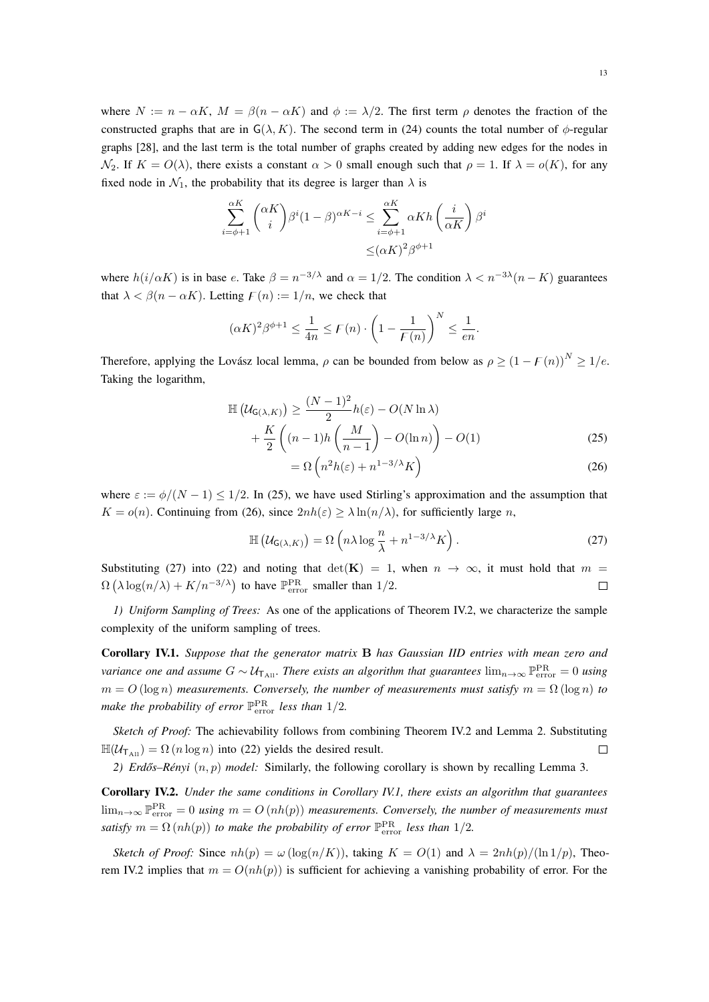where  $N := n - \alpha K$ ,  $M = \beta(n - \alpha K)$  and  $\phi := \lambda/2$ . The first term  $\rho$  denotes the fraction of the constructed graphs that are in  $G(\lambda, K)$ . The second term in (24) counts the total number of  $\phi$ -regular graphs [28], and the last term is the total number of graphs created by adding new edges for the nodes in  $\mathcal{N}_2$ . If  $K = O(\lambda)$ , there exists a constant  $\alpha > 0$  small enough such that  $\rho = 1$ . If  $\lambda = o(K)$ , for any fixed node in  $\mathcal{N}_1$ , the probability that its degree is larger than  $\lambda$  is

$$
\sum_{i=\phi+1}^{\alpha K} \binom{\alpha K}{i} \beta^i (1-\beta)^{\alpha K-i} \leq \sum_{i=\phi+1}^{\alpha K} \alpha K h \left(\frac{i}{\alpha K}\right) \beta^i
$$

$$
\leq (\alpha K)^2 \beta^{\phi+1}
$$

where  $h(i/\alpha K)$  is in base e. Take  $\beta = n^{-3/\lambda}$  and  $\alpha = 1/2$ . The condition  $\lambda < n^{-3\lambda}(n - K)$  guarantees that  $\lambda < \beta(n - \alpha K)$ . Letting  $F(n) := 1/n$ , we check that

$$
(\alpha K)^2 \beta^{\phi+1} \le \frac{1}{4n} \le F(n) \cdot \left(1 - \frac{1}{F(n)}\right)^N \le \frac{1}{en}.
$$

Therefore, applying the Lovász local lemma,  $\rho$  can be bounded from below as  $\rho \ge (1 - F(n))^N \ge 1/e$ . Taking the logarithm,

$$
\mathbb{H}\left(\mathcal{U}_{\mathsf{G}(\lambda,K)}\right) \ge \frac{(N-1)^2}{2}h(\varepsilon) - O(N\ln\lambda) + \frac{K}{2}\left((n-1)h\left(\frac{M}{n-1}\right) - O(\ln n)\right) - O(1) \tag{25}
$$

$$
= \Omega \left( n^2 h(\varepsilon) + n^{1-3/\lambda} K \right) \tag{26}
$$

where  $\varepsilon := \phi/(N-1) \leq 1/2$ . In (25), we have used Stirling's approximation and the assumption that  $K = o(n)$ . Continuing from (26), since  $2nh(\varepsilon) \ge \lambda \ln(n/\lambda)$ , for sufficiently large n,

$$
\mathbb{H}\left(\mathcal{U}_{\mathsf{G}(\lambda,K)}\right) = \Omega\left(n\lambda\log\frac{n}{\lambda} + n^{1-3/\lambda}K\right).
$$
 (27)

Substituting (27) into (22) and noting that det(K) = 1, when  $n \to \infty$ , it must hold that  $m =$  $\Omega\left(\lambda \log(n/\lambda) + K/n^{-3/\lambda}\right)$  to have  $\mathbb{P}_{\text{error}}^{\text{PR}}$  smaller than 1/2.  $\Box$ 

*1) Uniform Sampling of Trees:* As one of the applications of Theorem IV.2, we characterize the sample complexity of the uniform sampling of trees.

Corollary IV.1. *Suppose that the generator matrix* B *has Gaussian IID entries with mean zero and variance one and assume*  $G \sim U_{\text{T}_{All}}$ . There exists an algorithm that guarantees  $\lim_{n\to\infty} \mathbb{P}^{\text{PR}}_{\text{error}} = 0$  using  $m = O(\log n)$  *measurements. Conversely, the number of measurements must satisfy*  $m = \Omega(\log n)$  *to* make the probability of error  $\mathbb{P}_{\rm error}^{\rm PR}$  less than  $1/2$ .

*Sketch of Proof:* The achievability follows from combining Theorem IV.2 and Lemma 2. Substituting  $\mathbb{H}(\mathcal{U}_{\mathsf{T}_{\mathrm{All}}}) = \Omega(n \log n)$  into (22) yields the desired result.  $\Box$ 

2) *Erdős–Rényi*  $(n, p)$  *model:* Similarly, the following corollary is shown by recalling Lemma 3.

Corollary IV.2. *Under the same conditions in Corollary IV.1, there exists an algorithm that guarantees*  $\lim_{n\to\infty} \mathbb{P}^{\rm PR}_{\rm error} = 0$  using  $m = O(nh(p))$  measurements. Conversely, the number of measurements must *satisfy*  $m = \Omega(nh(p))$  *to make the probability of error*  $\mathbb{P}_{\text{error}}^{\text{PR}}$  *less than*  $1/2$ *.* 

*Sketch of Proof:* Since  $nh(p) = \omega(\log(n/K))$ , taking  $K = O(1)$  and  $\lambda = 2nh(p)/(\ln 1/p)$ , Theorem IV.2 implies that  $m = O(nh(p))$  is sufficient for achieving a vanishing probability of error. For the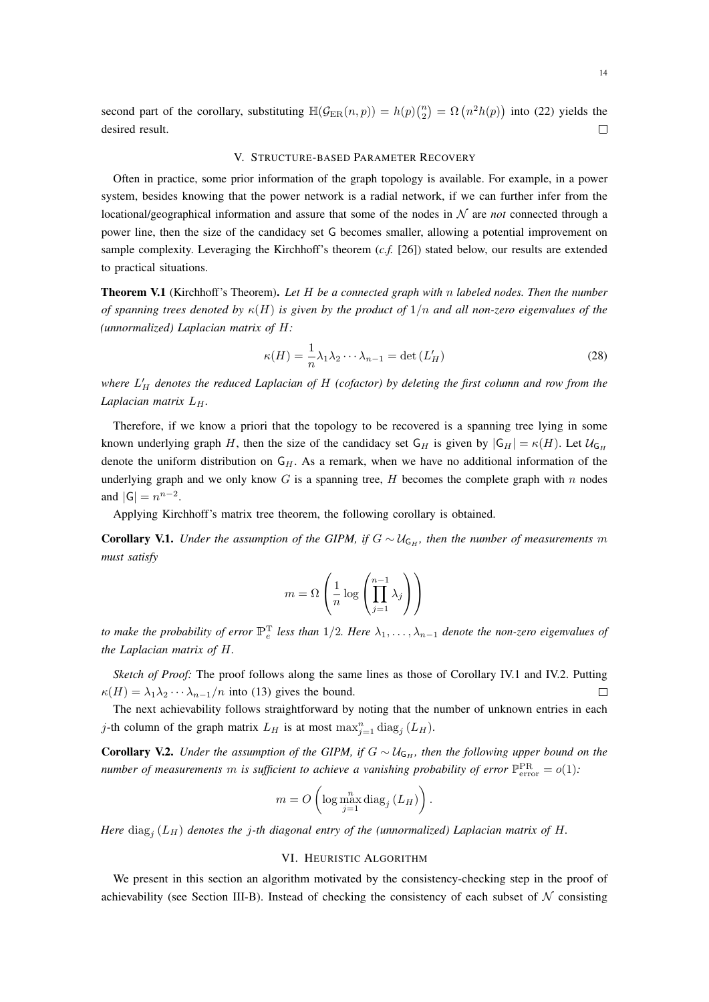second part of the corollary, substituting  $\mathbb{H}(\mathcal{G}_{\text{ER}}(n, p)) = h(p) {n \choose 2} = \Omega(n^2 h(p))$  into (22) yields the desired result.  $\Box$ 

#### V. STRUCTURE-BASED PARAMETER RECOVERY

Often in practice, some prior information of the graph topology is available. For example, in a power system, besides knowing that the power network is a radial network, if we can further infer from the locational/geographical information and assure that some of the nodes in  $N$  are *not* connected through a power line, then the size of the candidacy set G becomes smaller, allowing a potential improvement on sample complexity. Leveraging the Kirchhoff's theorem (*c.f.* [26]) stated below, our results are extended to practical situations.

Theorem V.1 (Kirchhoff's Theorem). *Let* H *be a connected graph with* n *labeled nodes. Then the number of spanning trees denoted by* κ(H) *is given by the product of* 1/n *and all non-zero eigenvalues of the (unnormalized) Laplacian matrix of* H*:*

$$
\kappa(H) = \frac{1}{n}\lambda_1\lambda_2\cdots\lambda_{n-1} = \det\left(L'_H\right)
$$
\n(28)

where  $L_H'$  denotes the reduced Laplacian of H (cofactor) by deleting the first column and row from the *Laplacian matrix*  $L_H$ *.* 

Therefore, if we know a priori that the topology to be recovered is a spanning tree lying in some known underlying graph H, then the size of the candidacy set G<sub>H</sub> is given by  $|G_H| = \kappa(H)$ . Let  $\mathcal{U}_{G_H}$ denote the uniform distribution on  $G_H$ . As a remark, when we have no additional information of the underlying graph and we only know  $G$  is a spanning tree,  $H$  becomes the complete graph with  $n$  nodes and  $|G| = n^{n-2}$ .

Applying Kirchhoff's matrix tree theorem, the following corollary is obtained.

**Corollary V.1.** *Under the assumption of the GIPM, if*  $G \sim \mathcal{U}_{G_H}$ *, then the number of measurements m must satisfy*

$$
m = \Omega\left(\frac{1}{n}\log\left(\prod_{j=1}^{n-1}\lambda_j\right)\right)
$$

*to make the probability of error*  $\mathbb{P}_{e}^{T}$  less than 1/2. Here  $\lambda_1, \ldots, \lambda_{n-1}$  denote the non-zero eigenvalues of *the Laplacian matrix of* H*.*

*Sketch of Proof:* The proof follows along the same lines as those of Corollary IV.1 and IV.2. Putting  $\kappa(H) = \lambda_1 \lambda_2 \cdots \lambda_{n-1}/n$  into (13) gives the bound.  $\Box$ 

The next achievability follows straightforward by noting that the number of unknown entries in each j-th column of the graph matrix  $L_H$  is at most  $\max_{j=1}^n \text{diag}_j(L_H)$ .

**Corollary V.2.** *Under the assumption of the GIPM, if*  $G \sim \mathcal{U}_{G_H}$ *, then the following upper bound on the number of measurements m is sufficient to achieve a vanishing probability of error*  $\mathbb{P}_{\rm error}^{\rm PR} = o(1)$ :

$$
m = O\left(\log \max_{j=1}^{n} \text{diag}_{j} \left(L_{H}\right)\right).
$$

*Here*  $\text{diag}_j(L_H)$  *denotes the* j-th diagonal entry of the (unnormalized) Laplacian matrix of H.

#### VI. HEURISTIC ALGORITHM

We present in this section an algorithm motivated by the consistency-checking step in the proof of achievability (see Section III-B). Instead of checking the consistency of each subset of  $N$  consisting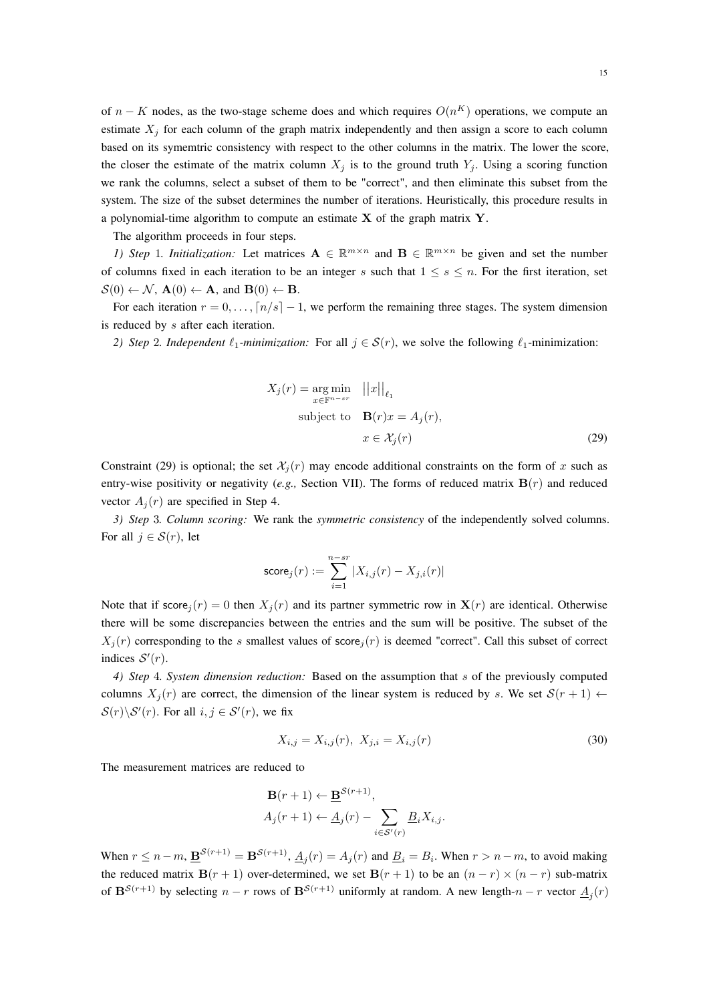of  $n - K$  nodes, as the two-stage scheme does and which requires  $O(n^K)$  operations, we compute an estimate  $X_i$  for each column of the graph matrix independently and then assign a score to each column based on its symemtric consistency with respect to the other columns in the matrix. The lower the score, the closer the estimate of the matrix column  $X_i$  is to the ground truth  $Y_i$ . Using a scoring function we rank the columns, select a subset of them to be "correct", and then eliminate this subset from the system. The size of the subset determines the number of iterations. Heuristically, this procedure results in a polynomial-time algorithm to compute an estimate  $X$  of the graph matrix  $Y$ .

The algorithm proceeds in four steps.

*1)* Step 1. Initialization: Let matrices  $A \in \mathbb{R}^{m \times n}$  and  $B \in \mathbb{R}^{m \times n}$  be given and set the number of columns fixed in each iteration to be an integer s such that  $1 \leq s \leq n$ . For the first iteration, set  $\mathcal{S}(0) \leftarrow \mathcal{N}, \mathbf{A}(0) \leftarrow \mathbf{A}, \text{ and } \mathbf{B}(0) \leftarrow \mathbf{B}.$ 

For each iteration  $r = 0, \ldots, \lceil n/s \rceil - 1$ , we perform the remaining three stages. The system dimension is reduced by s after each iteration.

*2) Step* 2*. Independent*  $\ell_1$ -*minimization:* For all  $j \in S(r)$ , we solve the following  $\ell_1$ -minimization:

$$
X_j(r) = \underset{x \in \mathbb{F}^{n-sr}}{\arg \min} \quad ||x||_{\ell_1}
$$
  
subject to 
$$
\mathbf{B}(r)x = A_j(r),
$$

$$
x \in \mathcal{X}_j(r)
$$
(29)

Constraint (29) is optional; the set  $\mathcal{X}_i(r)$  may encode additional constraints on the form of x such as entry-wise positivity or negativity (*e.g.,* Section VII). The forms of reduced matrix B(r) and reduced vector  $A_i(r)$  are specified in Step 4.

*3) Step* 3*. Column scoring:* We rank the *symmetric consistency* of the independently solved columns. For all  $j \in \mathcal{S}(r)$ , let

$$
\mathsf{score}_j(r) := \sum_{i=1}^{n-sr} |X_{i,j}(r) - X_{j,i}(r)|
$$

Note that if score,  $(r) = 0$  then  $X_i(r)$  and its partner symmetric row in  $X(r)$  are identical. Otherwise there will be some discrepancies between the entries and the sum will be positive. The subset of the  $X_j(r)$  corresponding to the s smallest values of score  $j(r)$  is deemed "correct". Call this subset of correct indices  $S'(r)$ .

*4) Step* 4*. System dimension reduction:* Based on the assumption that s of the previously computed columns  $X_i(r)$  are correct, the dimension of the linear system is reduced by s. We set  $S(r + 1) \leftarrow$  $S(r)\backslash S'(r)$ . For all  $i, j \in S'(r)$ , we fix

$$
X_{i,j} = X_{i,j}(r), \ X_{j,i} = X_{i,j}(r) \tag{30}
$$

The measurement matrices are reduced to

$$
\mathbf{B}(r+1) \leftarrow \mathbf{\underline{B}}^{\mathcal{S}(r+1)},
$$
  

$$
A_j(r+1) \leftarrow \underline{A}_j(r) - \sum_{i \in \mathcal{S}'(r)} \underline{B}_i X_{i,j}.
$$

When  $r \leq n-m$ ,  $\underline{\mathbf{B}}^{\mathcal{S}(r+1)} = \mathbf{B}^{\mathcal{S}(r+1)}$ ,  $\underline{A}_j(r) = A_j(r)$  and  $\underline{B}_i = B_i$ . When  $r > n-m$ , to avoid making the reduced matrix  $B(r + 1)$  over-determined, we set  $B(r + 1)$  to be an  $(n - r) \times (n - r)$  sub-matrix of  $\mathbf{B}^{\mathcal{S}(r+1)}$  by selecting  $n-r$  rows of  $\mathbf{B}^{\mathcal{S}(r+1)}$  uniformly at random. A new length- $n-r$  vector  $\underline{A}_j(r)$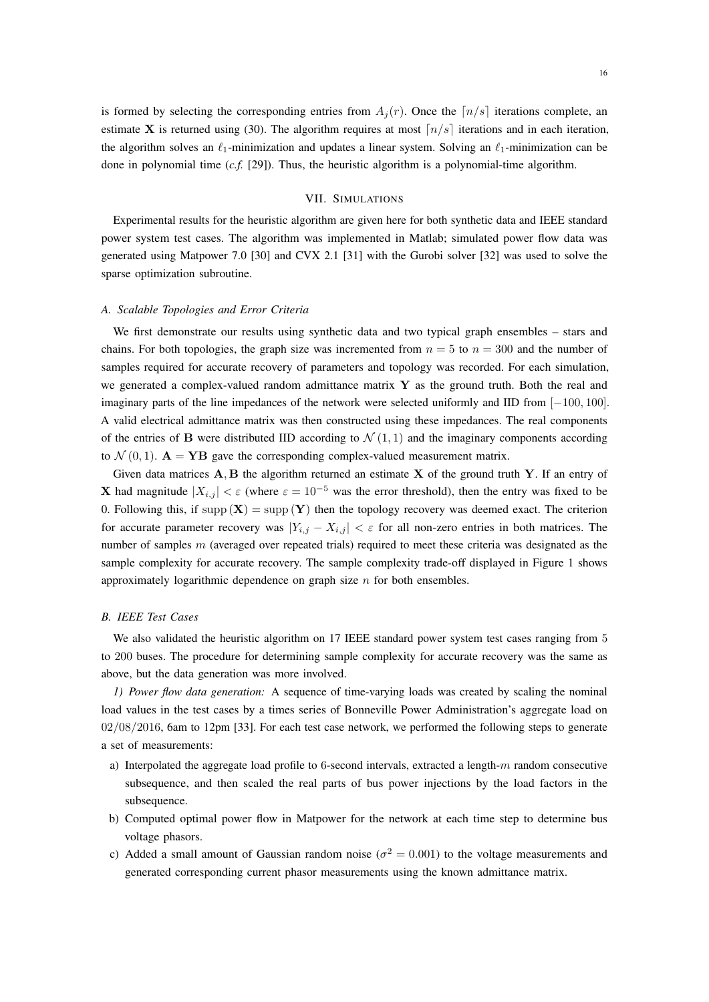is formed by selecting the corresponding entries from  $A_i(r)$ . Once the  $\lfloor n/s \rfloor$  iterations complete, an estimate X is returned using (30). The algorithm requires at most  $\lfloor n/s \rfloor$  iterations and in each iteration, the algorithm solves an  $\ell_1$ -minimization and updates a linear system. Solving an  $\ell_1$ -minimization can be done in polynomial time (*c.f.* [29]). Thus, the heuristic algorithm is a polynomial-time algorithm.

# VII. SIMULATIONS

Experimental results for the heuristic algorithm are given here for both synthetic data and IEEE standard power system test cases. The algorithm was implemented in Matlab; simulated power flow data was generated using Matpower 7.0 [30] and CVX 2.1 [31] with the Gurobi solver [32] was used to solve the sparse optimization subroutine.

## *A. Scalable Topologies and Error Criteria*

We first demonstrate our results using synthetic data and two typical graph ensembles – stars and chains. For both topologies, the graph size was incremented from  $n = 5$  to  $n = 300$  and the number of samples required for accurate recovery of parameters and topology was recorded. For each simulation, we generated a complex-valued random admittance matrix  $\bf{Y}$  as the ground truth. Both the real and imaginary parts of the line impedances of the network were selected uniformly and IID from [−100, 100]. A valid electrical admittance matrix was then constructed using these impedances. The real components of the entries of **B** were distributed IID according to  $\mathcal{N}(1, 1)$  and the imaginary components according to  $\mathcal{N}(0, 1)$ .  $\mathbf{A} = \mathbf{Y} \mathbf{B}$  gave the corresponding complex-valued measurement matrix.

Given data matrices  $A, B$  the algorithm returned an estimate  $X$  of the ground truth  $Y$ . If an entry of X had magnitude  $|X_{i,j}| < \varepsilon$  (where  $\varepsilon = 10^{-5}$  was the error threshold), then the entry was fixed to be 0. Following this, if supp  $(X) = \text{supp}(Y)$  then the topology recovery was deemed exact. The criterion for accurate parameter recovery was  $|Y_{i,j} - X_{i,j}| < \varepsilon$  for all non-zero entries in both matrices. The number of samples  $m$  (averaged over repeated trials) required to meet these criteria was designated as the sample complexity for accurate recovery. The sample complexity trade-off displayed in Figure 1 shows approximately logarithmic dependence on graph size  $n$  for both ensembles.

# *B. IEEE Test Cases*

We also validated the heuristic algorithm on 17 IEEE standard power system test cases ranging from 5 to 200 buses. The procedure for determining sample complexity for accurate recovery was the same as above, but the data generation was more involved.

*1) Power flow data generation:* A sequence of time-varying loads was created by scaling the nominal load values in the test cases by a times series of Bonneville Power Administration's aggregate load on 02/08/2016, 6am to 12pm [33]. For each test case network, we performed the following steps to generate a set of measurements:

- a) Interpolated the aggregate load profile to 6-second intervals, extracted a length- $m$  random consecutive subsequence, and then scaled the real parts of bus power injections by the load factors in the subsequence.
- b) Computed optimal power flow in Matpower for the network at each time step to determine bus voltage phasors.
- c) Added a small amount of Gaussian random noise ( $\sigma^2 = 0.001$ ) to the voltage measurements and generated corresponding current phasor measurements using the known admittance matrix.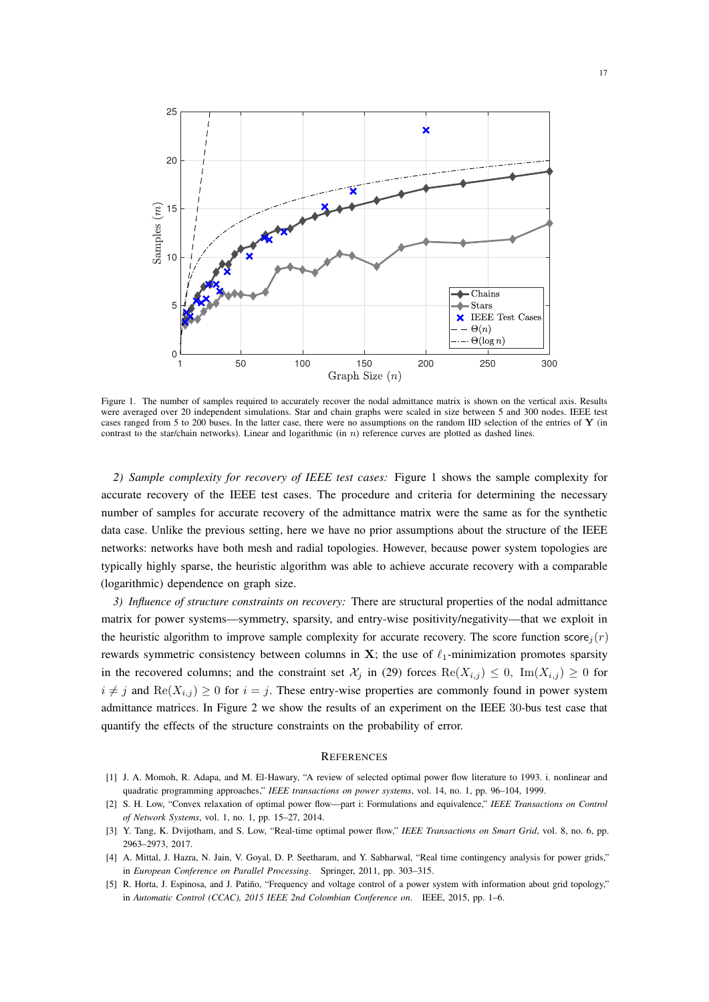

Figure 1. The number of samples required to accurately recover the nodal admittance matrix is shown on the vertical axis. Results were averaged over 20 independent simulations. Star and chain graphs were scaled in size between 5 and 300 nodes. IEEE test cases ranged from 5 to 200 buses. In the latter case, there were no assumptions on the random IID selection of the entries of Y (in contrast to the star/chain networks). Linear and logarithmic (in  $n$ ) reference curves are plotted as dashed lines.

*2) Sample complexity for recovery of IEEE test cases:* Figure 1 shows the sample complexity for accurate recovery of the IEEE test cases. The procedure and criteria for determining the necessary number of samples for accurate recovery of the admittance matrix were the same as for the synthetic data case. Unlike the previous setting, here we have no prior assumptions about the structure of the IEEE networks: networks have both mesh and radial topologies. However, because power system topologies are typically highly sparse, the heuristic algorithm was able to achieve accurate recovery with a comparable (logarithmic) dependence on graph size.

*3) Influence of structure constraints on recovery:* There are structural properties of the nodal admittance matrix for power systems—symmetry, sparsity, and entry-wise positivity/negativity—that we exploit in the heuristic algorithm to improve sample complexity for accurate recovery. The score function score,  $(r)$ rewards symmetric consistency between columns in X; the use of  $\ell_1$ -minimization promotes sparsity in the recovered columns; and the constraint set  $\mathcal{X}_i$  in (29) forces  $\text{Re}(X_{i,j}) \leq 0$ ,  $\text{Im}(X_{i,j}) \geq 0$  for  $i \neq j$  and  $\text{Re}(X_{i,j}) \geq 0$  for  $i = j$ . These entry-wise properties are commonly found in power system admittance matrices. In Figure 2 we show the results of an experiment on the IEEE 30-bus test case that quantify the effects of the structure constraints on the probability of error.

## **REFERENCES**

- [1] J. A. Momoh, R. Adapa, and M. El-Hawary, "A review of selected optimal power flow literature to 1993. i. nonlinear and quadratic programming approaches," *IEEE transactions on power systems*, vol. 14, no. 1, pp. 96–104, 1999.
- [2] S. H. Low, "Convex relaxation of optimal power flow—part i: Formulations and equivalence," *IEEE Transactions on Control of Network Systems*, vol. 1, no. 1, pp. 15–27, 2014.
- [3] Y. Tang, K. Dvijotham, and S. Low, "Real-time optimal power flow," *IEEE Transactions on Smart Grid*, vol. 8, no. 6, pp. 2963–2973, 2017.
- [4] A. Mittal, J. Hazra, N. Jain, V. Goyal, D. P. Seetharam, and Y. Sabharwal, "Real time contingency analysis for power grids," in *European Conference on Parallel Processing*. Springer, 2011, pp. 303–315.
- [5] R. Horta, J. Espinosa, and J. Patiño, "Frequency and voltage control of a power system with information about grid topology," in *Automatic Control (CCAC), 2015 IEEE 2nd Colombian Conference on*. IEEE, 2015, pp. 1–6.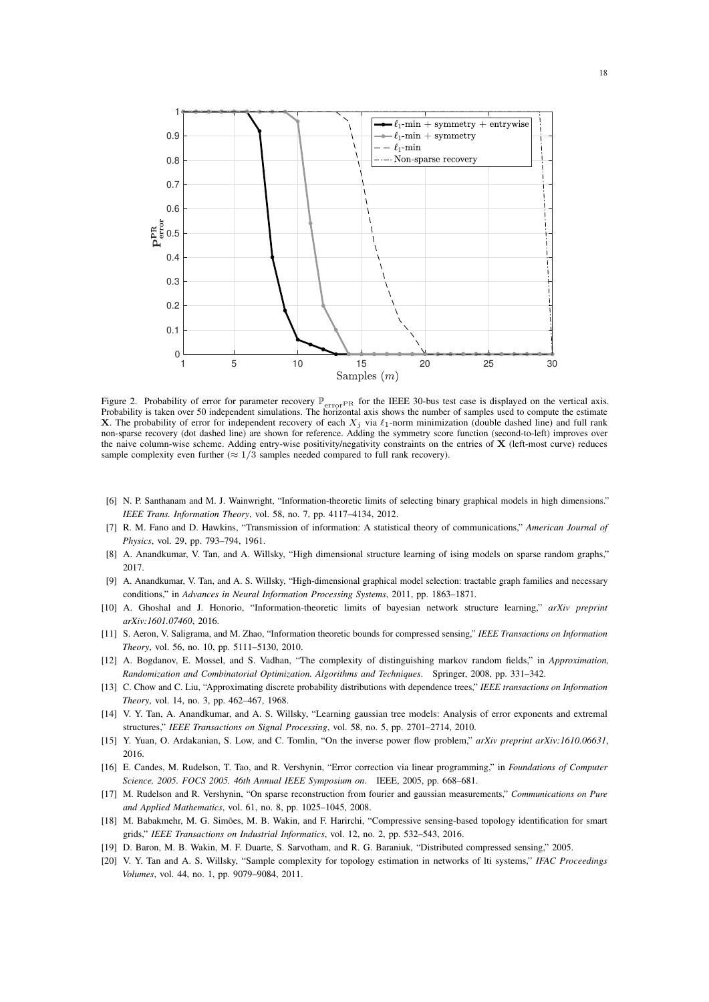

Figure 2. Probability of error for parameter recovery  $\mathbb{P}_{errorPR}$  for the IEEE 30-bus test case is displayed on the vertical axis. Probability is taken over 50 independent simulations. The horizontal axis shows the number of samples used to compute the estimate **X**. The probability of error for independent recovery of each  $X_j$  via  $\ell_1$ -norm minimization (double dashed line) and full rank non-sparse recovery (dot dashed line) are shown for reference. Adding the symmetry score function (second-to-left) improves over the naive column-wise scheme. Adding entry-wise positivity/negativity constraints on the entries of X (left-most curve) reduces sample complexity even further ( $\approx 1/3$  samples needed compared to full rank recovery).

- [6] N. P. Santhanam and M. J. Wainwright, "Information-theoretic limits of selecting binary graphical models in high dimensions." *IEEE Trans. Information Theory*, vol. 58, no. 7, pp. 4117–4134, 2012.
- [7] R. M. Fano and D. Hawkins, "Transmission of information: A statistical theory of communications," *American Journal of Physics*, vol. 29, pp. 793–794, 1961.
- [8] A. Anandkumar, V. Tan, and A. Willsky, "High dimensional structure learning of ising models on sparse random graphs," 2017.
- [9] A. Anandkumar, V. Tan, and A. S. Willsky, "High-dimensional graphical model selection: tractable graph families and necessary conditions," in *Advances in Neural Information Processing Systems*, 2011, pp. 1863–1871.
- [10] A. Ghoshal and J. Honorio, "Information-theoretic limits of bayesian network structure learning," *arXiv preprint arXiv:1601.07460*, 2016.
- [11] S. Aeron, V. Saligrama, and M. Zhao, "Information theoretic bounds for compressed sensing," *IEEE Transactions on Information Theory*, vol. 56, no. 10, pp. 5111–5130, 2010.
- [12] A. Bogdanov, E. Mossel, and S. Vadhan, "The complexity of distinguishing markov random fields," in *Approximation, Randomization and Combinatorial Optimization. Algorithms and Techniques*. Springer, 2008, pp. 331–342.
- [13] C. Chow and C. Liu, "Approximating discrete probability distributions with dependence trees," *IEEE transactions on Information Theory*, vol. 14, no. 3, pp. 462–467, 1968.
- [14] V. Y. Tan, A. Anandkumar, and A. S. Willsky, "Learning gaussian tree models: Analysis of error exponents and extremal structures," *IEEE Transactions on Signal Processing*, vol. 58, no. 5, pp. 2701–2714, 2010.
- [15] Y. Yuan, O. Ardakanian, S. Low, and C. Tomlin, "On the inverse power flow problem," *arXiv preprint arXiv:1610.06631*, 2016.
- [16] E. Candes, M. Rudelson, T. Tao, and R. Vershynin, "Error correction via linear programming," in *Foundations of Computer Science, 2005. FOCS 2005. 46th Annual IEEE Symposium on*. IEEE, 2005, pp. 668–681.
- [17] M. Rudelson and R. Vershynin, "On sparse reconstruction from fourier and gaussian measurements," *Communications on Pure and Applied Mathematics*, vol. 61, no. 8, pp. 1025–1045, 2008.
- [18] M. Babakmehr, M. G. Simões, M. B. Wakin, and F. Harirchi, "Compressive sensing-based topology identification for smart grids," *IEEE Transactions on Industrial Informatics*, vol. 12, no. 2, pp. 532–543, 2016.
- [19] D. Baron, M. B. Wakin, M. F. Duarte, S. Sarvotham, and R. G. Baraniuk, "Distributed compressed sensing," 2005.
- [20] V. Y. Tan and A. S. Willsky, "Sample complexity for topology estimation in networks of lti systems," *IFAC Proceedings Volumes*, vol. 44, no. 1, pp. 9079–9084, 2011.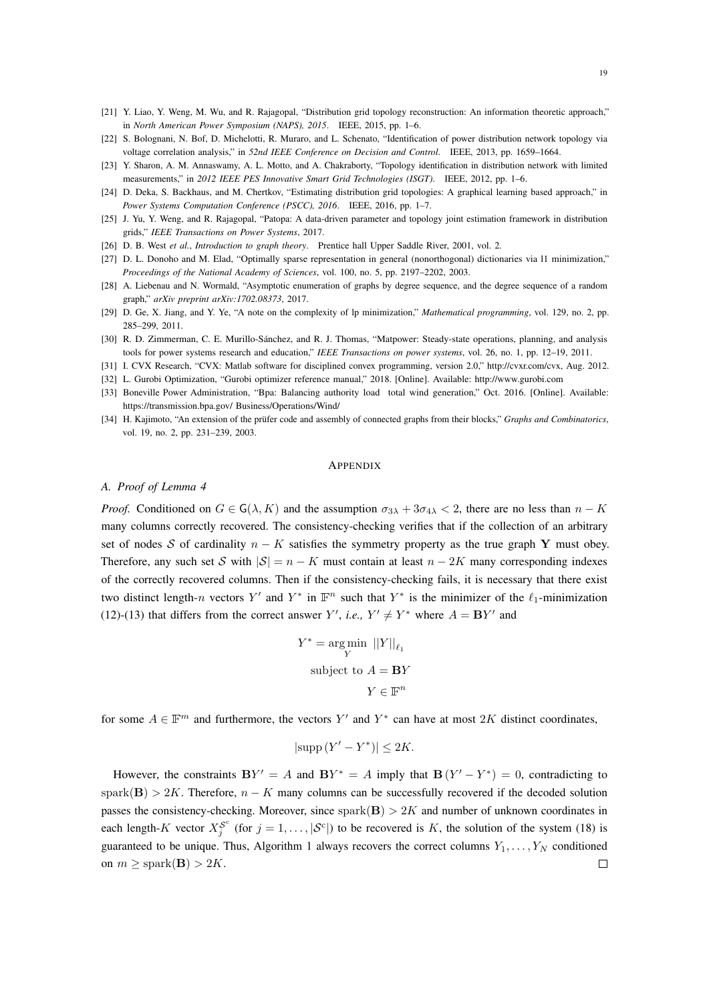- [21] Y. Liao, Y. Weng, M. Wu, and R. Rajagopal, "Distribution grid topology reconstruction: An information theoretic approach," in *North American Power Symposium (NAPS), 2015*. IEEE, 2015, pp. 1–6.
- [22] S. Bolognani, N. Bof, D. Michelotti, R. Muraro, and L. Schenato, "Identification of power distribution network topology via voltage correlation analysis," in *52nd IEEE Conference on Decision and Control*. IEEE, 2013, pp. 1659–1664.
- [23] Y. Sharon, A. M. Annaswamy, A. L. Motto, and A. Chakraborty, "Topology identification in distribution network with limited measurements," in *2012 IEEE PES Innovative Smart Grid Technologies (ISGT)*. IEEE, 2012, pp. 1–6.
- [24] D. Deka, S. Backhaus, and M. Chertkov, "Estimating distribution grid topologies: A graphical learning based approach," in *Power Systems Computation Conference (PSCC), 2016*. IEEE, 2016, pp. 1–7.
- [25] J. Yu, Y. Weng, and R. Rajagopal, "Patopa: A data-driven parameter and topology joint estimation framework in distribution grids," *IEEE Transactions on Power Systems*, 2017.
- [26] D. B. West *et al.*, *Introduction to graph theory*. Prentice hall Upper Saddle River, 2001, vol. 2.
- [27] D. L. Donoho and M. Elad, "Optimally sparse representation in general (nonorthogonal) dictionaries via l1 minimization," *Proceedings of the National Academy of Sciences*, vol. 100, no. 5, pp. 2197–2202, 2003.
- [28] A. Liebenau and N. Wormald, "Asymptotic enumeration of graphs by degree sequence, and the degree sequence of a random graph," *arXiv preprint arXiv:1702.08373*, 2017.
- [29] D. Ge, X. Jiang, and Y. Ye, "A note on the complexity of lp minimization," *Mathematical programming*, vol. 129, no. 2, pp. 285–299, 2011.
- [30] R. D. Zimmerman, C. E. Murillo-Sánchez, and R. J. Thomas, "Matpower: Steady-state operations, planning, and analysis tools for power systems research and education," *IEEE Transactions on power systems*, vol. 26, no. 1, pp. 12–19, 2011.
- [31] I. CVX Research, "CVX: Matlab software for disciplined convex programming, version 2.0," http://cvxr.com/cvx, Aug. 2012.
- [32] L. Gurobi Optimization, "Gurobi optimizer reference manual," 2018. [Online]. Available: http://www.gurobi.com
- [33] Boneville Power Administration, "Bpa: Balancing authority load total wind generation," Oct. 2016. [Online]. Available: https://transmission.bpa.gov/ Business/Operations/Wind/
- [34] H. Kajimoto, "An extension of the prüfer code and assembly of connected graphs from their blocks," *Graphs and Combinatorics*, vol. 19, no. 2, pp. 231–239, 2003.

#### **APPENDIX**

#### *A. Proof of Lemma 4*

*Proof.* Conditioned on  $G \in G(\lambda, K)$  and the assumption  $\sigma_{3\lambda} + 3\sigma_{4\lambda} < 2$ , there are no less than  $n - K$ many columns correctly recovered. The consistency-checking verifies that if the collection of an arbitrary set of nodes S of cardinality  $n - K$  satisfies the symmetry property as the true graph Y must obey. Therefore, any such set S with  $|S| = n - K$  must contain at least  $n - 2K$  many corresponding indexes of the correctly recovered columns. Then if the consistency-checking fails, it is necessary that there exist two distinct length-n vectors Y' and Y<sup>\*</sup> in  $\mathbb{F}^n$  such that Y<sup>\*</sup> is the minimizer of the  $\ell_1$ -minimization (12)-(13) that differs from the correct answer  $Y'$ , *i.e.*,  $Y' \neq Y^*$  where  $A = BY'$  and

$$
Y^* = \underset{Y}{\text{arg min}} \ \left\|Y\right\|_{\ell_1}
$$
  
subject to  $A = \mathbf{B}Y$   

$$
Y \in \mathbb{F}^n
$$

for some  $A \in \mathbb{F}^m$  and furthermore, the vectors Y' and Y<sup>\*</sup> can have at most 2K distinct coordinates,

$$
|\text{supp}\,(Y'-Y^*)| \le 2K.
$$

However, the constraints  $BY' = A$  and  $BY^* = A$  imply that  $B(Y' - Y^*) = 0$ , contradicting to spark(B) > 2K. Therefore,  $n - K$  many columns can be successfully recovered if the decoded solution passes the consistency-checking. Moreover, since  $spark(B) > 2K$  and number of unknown coordinates in each length-K vector  $X_j^{\mathcal{S}^c}$  (for  $j = 1, \ldots, |\mathcal{S}^c|$ ) to be recovered is K, the solution of the system (18) is guaranteed to be unique. Thus, Algorithm 1 always recovers the correct columns  $Y_1, \ldots, Y_N$  conditioned on  $m \geq$  spark(**B**) > 2K.  $\Box$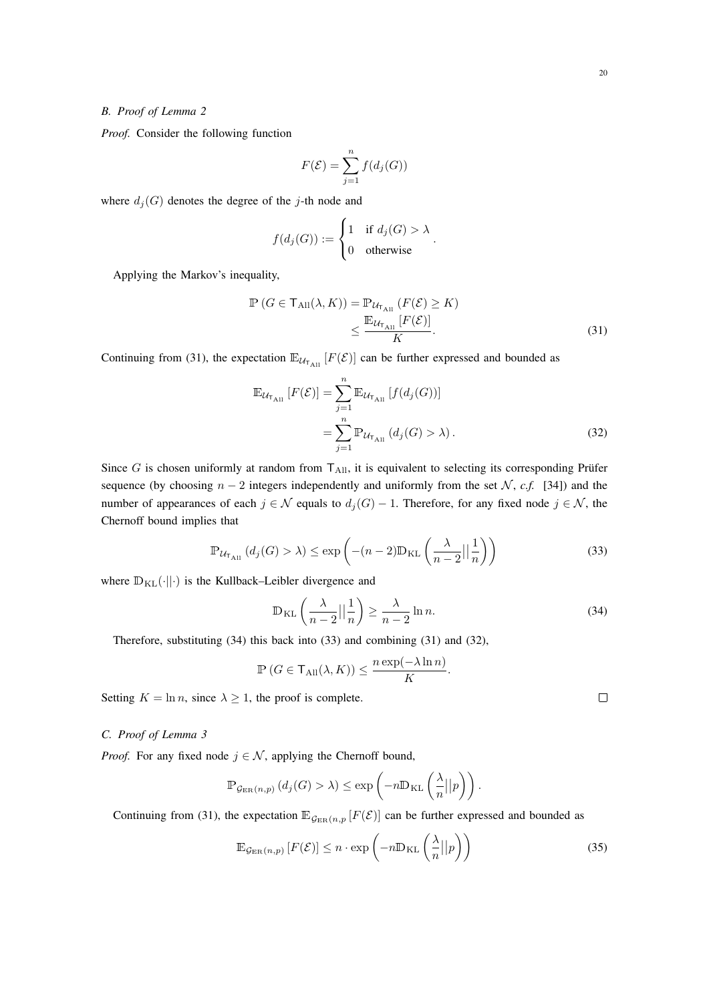# *B. Proof of Lemma 2*

*Proof.* Consider the following function

$$
F(\mathcal{E}) = \sum_{j=1}^{n} f(d_j(G))
$$

where  $d_j(G)$  denotes the degree of the j-th node and

$$
f(d_j(G)) := \begin{cases} 1 & \text{if } d_j(G) > \lambda \\ 0 & \text{otherwise} \end{cases}.
$$

Applying the Markov's inequality,

$$
\mathbb{P}\left(G \in \mathsf{T}_{\mathrm{All}}(\lambda, K)\right) = \mathbb{P}_{\mathcal{U}_{\mathsf{T}_{\mathrm{All}}}}\left(F(\mathcal{E}) \ge K\right) \\
\le \frac{\mathbb{E}_{\mathcal{U}_{\mathsf{T}_{\mathrm{All}}}}\left[F(\mathcal{E})\right]}{K}.\n\tag{31}
$$

Continuing from (31), the expectation  $\mathbb{E}_{\mathcal{U}_{\tau_{All}}}[F(\mathcal{E})]$  can be further expressed and bounded as

$$
\mathbb{E}_{\mathcal{U}_{\mathsf{T}_{\mathrm{All}}}}\left[F(\mathcal{E})\right] = \sum_{j=1}^{n} \mathbb{E}_{\mathcal{U}_{\mathsf{T}_{\mathrm{All}}}}\left[f(d_j(G))\right]
$$
\n
$$
= \sum_{j=1}^{n} \mathbb{P}_{\mathcal{U}_{\mathsf{T}_{\mathrm{All}}}}\left(d_j(G) > \lambda\right). \tag{32}
$$

Since G is chosen uniformly at random from  $T_{All}$ , it is equivalent to selecting its corresponding Prüfer sequence (by choosing  $n - 2$  integers independently and uniformly from the set  $\mathcal{N}$ , *c.f.* [34]) and the number of appearances of each  $j \in \mathcal{N}$  equals to  $d_j(G) - 1$ . Therefore, for any fixed node  $j \in \mathcal{N}$ , the Chernoff bound implies that

$$
\mathbb{P}_{\mathcal{U}_{\mathsf{T}_{\mathrm{All}}}}\left(d_{j}(G) > \lambda\right) \le \exp\left(-(n-2)\mathbb{D}_{\mathrm{KL}}\left(\frac{\lambda}{n-2}\big|\big|\frac{1}{n}\right)\right) \tag{33}
$$

where  $\mathbb{D}_{\text{KL}}(\cdot||\cdot)$  is the Kullback–Leibler divergence and

$$
\mathbb{D}_{\mathrm{KL}}\left(\frac{\lambda}{n-2}\Big|\Big|\frac{1}{n}\right) \ge \frac{\lambda}{n-2}\ln n. \tag{34}
$$

Therefore, substituting (34) this back into (33) and combining (31) and (32),

$$
\mathbb{P}\left(G \in \mathsf{T}_{\mathrm{All}}(\lambda, K)\right) \le \frac{n \exp(-\lambda \ln n)}{K}.
$$

Setting  $K = \ln n$ , since  $\lambda \geq 1$ , the proof is complete.

# *C. Proof of Lemma 3*

*Proof.* For any fixed node  $j \in \mathcal{N}$ , applying the Chernoff bound,

$$
\mathbb{P}_{\mathcal{G}_{\text{ER}}(n,p)}\left(d_j(G) > \lambda\right) \le \exp\left(-n \mathbb{D}_{\text{KL}}\left(\frac{\lambda}{n}||p\right)\right).
$$

Continuing from (31), the expectation  $\mathbb{E}_{\mathcal{G}_{\text{ER}}(n,p)}[F(\mathcal{E})]$  can be further expressed and bounded as

$$
\mathbb{E}_{\mathcal{G}_{\text{ER}}(n,p)}\left[F(\mathcal{E})\right] \le n \cdot \exp\left(-n \mathbb{D}_{\text{KL}}\left(\frac{\lambda}{n}||p\right)\right) \tag{35}
$$

 $\Box$